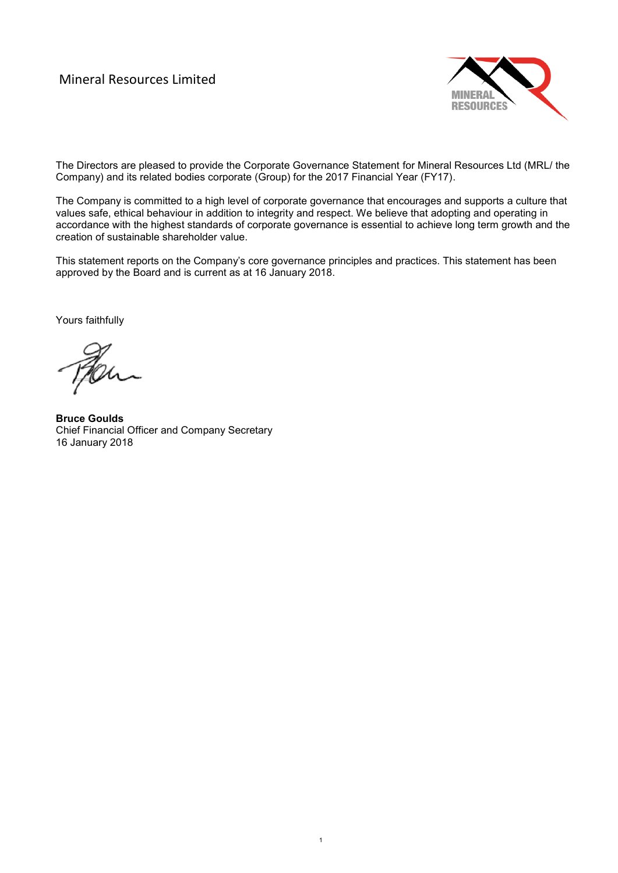## Mineral Resources Limited



The Directors are pleased to provide the Corporate Governance Statement for Mineral Resources Ltd (MRL/ the Company) and its related bodies corporate (Group) for the 2017 Financial Year (FY17).

The Company is committed to a high level of corporate governance that encourages and supports a culture that values safe, ethical behaviour in addition to integrity and respect. We believe that adopting and operating in accordance with the highest standards of corporate governance is essential to achieve long term growth and the creation of sustainable shareholder value.

This statement reports on the Company's core governance principles and practices. This statement has been approved by the Board and is current as at 16 January 2018.

1

Yours faithfully

**Bruce Goulds** Chief Financial Officer and Company Secretary 16 January 2018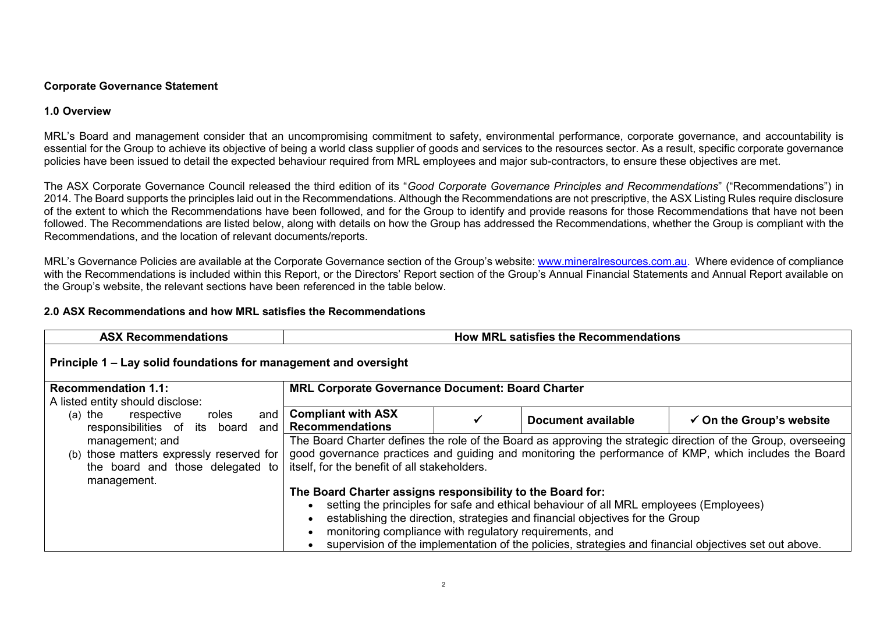## **Corporate Governance Statement**

## **1.0 Overview**

MRL's Board and management consider that an uncompromising commitment to safety, environmental performance, corporate governance, and accountability is essential for the Group to achieve its objective of being a world class supplier of goods and services to the resources sector. As a result, specific corporate governance policies have been issued to detail the expected behaviour required from MRL employees and major sub-contractors, to ensure these objectives are met.

The ASX Corporate Governance Council released the third edition of its "*Good Corporate Governance Principles and Recommendations*" ("Recommendations") in 2014. The Board supports the principles laid out in the Recommendations. Although the Recommendations are not prescriptive, the ASX Listing Rules require disclosure of the extent to which the Recommendations have been followed, and for the Group to identify and provide reasons for those Recommendations that have not been followed. The Recommendations are listed below, along with details on how the Group has addressed the Recommendations, whether the Group is compliant with the Recommendations, and the location of relevant documents/reports.

MRL's Governance Policies are available at the Corporate Governance section of the Group's website: [www.mineralresources.com.au.](http://www.mineralresources.com.au/) Where evidence of compliance with the Recommendations is included within this Report, or the Directors' Report section of the Group's Annual Financial Statements and Annual Report available on the Group's website, the relevant sections have been referenced in the table below.

## **2.0 ASX Recommendations and how MRL satisfies the Recommendations**

| <b>ASX Recommendations</b>                                                      | <b>How MRL satisfies the Recommendations</b>                                     |  |                                                                                                       |                                                                                                               |  |  |
|---------------------------------------------------------------------------------|----------------------------------------------------------------------------------|--|-------------------------------------------------------------------------------------------------------|---------------------------------------------------------------------------------------------------------------|--|--|
| Principle 1 – Lay solid foundations for management and oversight                |                                                                                  |  |                                                                                                       |                                                                                                               |  |  |
| <b>Recommendation 1.1:</b>                                                      | <b>MRL Corporate Governance Document: Board Charter</b>                          |  |                                                                                                       |                                                                                                               |  |  |
| A listed entity should disclose:                                                |                                                                                  |  |                                                                                                       |                                                                                                               |  |  |
| $(a)$ the<br>respective<br>roles<br>and<br>responsibilities of its board<br>and | <b>Compliant with ASX</b><br><b>Document available</b><br><b>Recommendations</b> |  |                                                                                                       | $\checkmark$ On the Group's website                                                                           |  |  |
| management; and                                                                 |                                                                                  |  |                                                                                                       | The Board Charter defines the role of the Board as approving the strategic direction of the Group, overseeing |  |  |
| (b) those matters expressly reserved for                                        |                                                                                  |  |                                                                                                       | good governance practices and guiding and monitoring the performance of KMP, which includes the Board         |  |  |
| the board and those delegated to                                                | itself, for the benefit of all stakeholders.                                     |  |                                                                                                       |                                                                                                               |  |  |
| management.                                                                     |                                                                                  |  |                                                                                                       |                                                                                                               |  |  |
|                                                                                 | The Board Charter assigns responsibility to the Board for:                       |  |                                                                                                       |                                                                                                               |  |  |
|                                                                                 |                                                                                  |  | setting the principles for safe and ethical behaviour of all MRL employees (Employees)                |                                                                                                               |  |  |
|                                                                                 | establishing the direction, strategies and financial objectives for the Group    |  |                                                                                                       |                                                                                                               |  |  |
|                                                                                 |                                                                                  |  | monitoring compliance with regulatory requirements, and                                               |                                                                                                               |  |  |
|                                                                                 |                                                                                  |  | supervision of the implementation of the policies, strategies and financial objectives set out above. |                                                                                                               |  |  |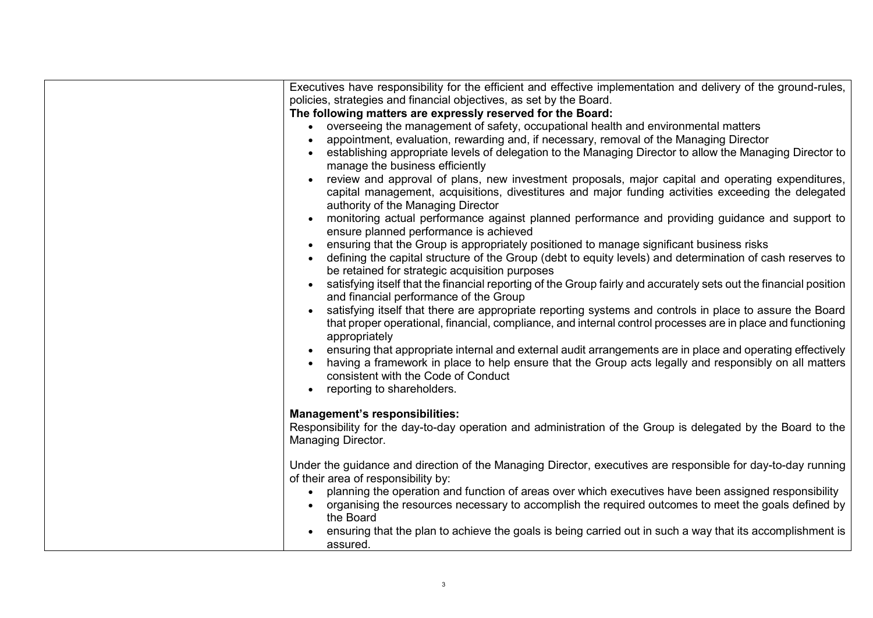| Executives have responsibility for the efficient and effective implementation and delivery of the ground-rules,<br>policies, strategies and financial objectives, as set by the Board. |
|----------------------------------------------------------------------------------------------------------------------------------------------------------------------------------------|
| The following matters are expressly reserved for the Board:                                                                                                                            |
| overseeing the management of safety, occupational health and environmental matters<br>$\bullet$                                                                                        |
| appointment, evaluation, rewarding and, if necessary, removal of the Managing Director                                                                                                 |
| establishing appropriate levels of delegation to the Managing Director to allow the Managing Director to                                                                               |
| manage the business efficiently                                                                                                                                                        |
| review and approval of plans, new investment proposals, major capital and operating expenditures,                                                                                      |
| capital management, acquisitions, divestitures and major funding activities exceeding the delegated                                                                                    |
| authority of the Managing Director                                                                                                                                                     |
| monitoring actual performance against planned performance and providing guidance and support to                                                                                        |
| ensure planned performance is achieved                                                                                                                                                 |
| ensuring that the Group is appropriately positioned to manage significant business risks                                                                                               |
| defining the capital structure of the Group (debt to equity levels) and determination of cash reserves to                                                                              |
| be retained for strategic acquisition purposes                                                                                                                                         |
| satisfying itself that the financial reporting of the Group fairly and accurately sets out the financial position                                                                      |
| and financial performance of the Group                                                                                                                                                 |
| satisfying itself that there are appropriate reporting systems and controls in place to assure the Board                                                                               |
| that proper operational, financial, compliance, and internal control processes are in place and functioning                                                                            |
| appropriately                                                                                                                                                                          |
| ensuring that appropriate internal and external audit arrangements are in place and operating effectively                                                                              |
| having a framework in place to help ensure that the Group acts legally and responsibly on all matters                                                                                  |
| consistent with the Code of Conduct                                                                                                                                                    |
| reporting to shareholders.<br>$\bullet$                                                                                                                                                |
| <b>Management's responsibilities:</b>                                                                                                                                                  |
| Responsibility for the day-to-day operation and administration of the Group is delegated by the Board to the                                                                           |
| Managing Director.                                                                                                                                                                     |
|                                                                                                                                                                                        |
| Under the guidance and direction of the Managing Director, executives are responsible for day-to-day running                                                                           |
| of their area of responsibility by:                                                                                                                                                    |
| planning the operation and function of areas over which executives have been assigned responsibility<br>$\bullet$                                                                      |
| organising the resources necessary to accomplish the required outcomes to meet the goals defined by                                                                                    |
| the Board                                                                                                                                                                              |
| ensuring that the plan to achieve the goals is being carried out in such a way that its accomplishment is                                                                              |
| assured.                                                                                                                                                                               |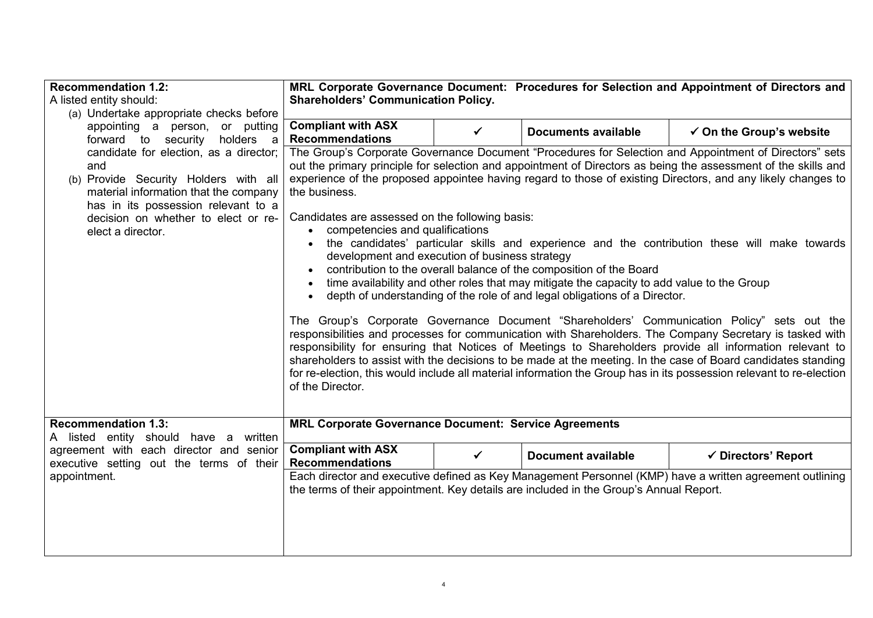| <b>Recommendation 1.2:</b>                                                     | MRL Corporate Governance Document: Procedures for Selection and Appointment of Directors and                                                                                                                                                                                                                                                                                                                                                                                                                                                                                     |              |                                                                                            |                                                                                                          |  |  |  |  |
|--------------------------------------------------------------------------------|----------------------------------------------------------------------------------------------------------------------------------------------------------------------------------------------------------------------------------------------------------------------------------------------------------------------------------------------------------------------------------------------------------------------------------------------------------------------------------------------------------------------------------------------------------------------------------|--------------|--------------------------------------------------------------------------------------------|----------------------------------------------------------------------------------------------------------|--|--|--|--|
| A listed entity should:                                                        | <b>Shareholders' Communication Policy.</b>                                                                                                                                                                                                                                                                                                                                                                                                                                                                                                                                       |              |                                                                                            |                                                                                                          |  |  |  |  |
| (a) Undertake appropriate checks before                                        |                                                                                                                                                                                                                                                                                                                                                                                                                                                                                                                                                                                  |              |                                                                                            |                                                                                                          |  |  |  |  |
| appointing a person, or putting                                                | <b>Compliant with ASX</b><br>$\checkmark$ On the Group's website<br>✓<br><b>Documents available</b>                                                                                                                                                                                                                                                                                                                                                                                                                                                                              |              |                                                                                            |                                                                                                          |  |  |  |  |
| forward to security<br>holders a                                               | <b>Recommendations</b>                                                                                                                                                                                                                                                                                                                                                                                                                                                                                                                                                           |              |                                                                                            |                                                                                                          |  |  |  |  |
| candidate for election, as a director;                                         | The Group's Corporate Governance Document "Procedures for Selection and Appointment of Directors" sets<br>out the primary principle for selection and appointment of Directors as being the assessment of the skills and                                                                                                                                                                                                                                                                                                                                                         |              |                                                                                            |                                                                                                          |  |  |  |  |
| and                                                                            |                                                                                                                                                                                                                                                                                                                                                                                                                                                                                                                                                                                  |              |                                                                                            |                                                                                                          |  |  |  |  |
| (b) Provide Security Holders with all<br>material information that the company | experience of the proposed appointee having regard to those of existing Directors, and any likely changes to<br>the business.                                                                                                                                                                                                                                                                                                                                                                                                                                                    |              |                                                                                            |                                                                                                          |  |  |  |  |
| has in its possession relevant to a                                            |                                                                                                                                                                                                                                                                                                                                                                                                                                                                                                                                                                                  |              |                                                                                            |                                                                                                          |  |  |  |  |
| decision on whether to elect or re-                                            | Candidates are assessed on the following basis:                                                                                                                                                                                                                                                                                                                                                                                                                                                                                                                                  |              |                                                                                            |                                                                                                          |  |  |  |  |
| elect a director.                                                              | • competencies and qualifications                                                                                                                                                                                                                                                                                                                                                                                                                                                                                                                                                |              |                                                                                            |                                                                                                          |  |  |  |  |
|                                                                                |                                                                                                                                                                                                                                                                                                                                                                                                                                                                                                                                                                                  |              |                                                                                            | the candidates' particular skills and experience and the contribution these will make towards            |  |  |  |  |
|                                                                                | development and execution of business strategy                                                                                                                                                                                                                                                                                                                                                                                                                                                                                                                                   |              |                                                                                            |                                                                                                          |  |  |  |  |
|                                                                                |                                                                                                                                                                                                                                                                                                                                                                                                                                                                                                                                                                                  |              | contribution to the overall balance of the composition of the Board                        |                                                                                                          |  |  |  |  |
|                                                                                |                                                                                                                                                                                                                                                                                                                                                                                                                                                                                                                                                                                  |              | time availability and other roles that may mitigate the capacity to add value to the Group |                                                                                                          |  |  |  |  |
|                                                                                | $\bullet$                                                                                                                                                                                                                                                                                                                                                                                                                                                                                                                                                                        |              | depth of understanding of the role of and legal obligations of a Director.                 |                                                                                                          |  |  |  |  |
|                                                                                | The Group's Corporate Governance Document "Shareholders' Communication Policy" sets out the<br>responsibilities and processes for communication with Shareholders. The Company Secretary is tasked with<br>responsibility for ensuring that Notices of Meetings to Shareholders provide all information relevant to<br>shareholders to assist with the decisions to be made at the meeting. In the case of Board candidates standing<br>for re-election, this would include all material information the Group has in its possession relevant to re-election<br>of the Director. |              |                                                                                            |                                                                                                          |  |  |  |  |
| <b>Recommendation 1.3:</b><br>A listed entity should have a written            | <b>MRL Corporate Governance Document: Service Agreements</b>                                                                                                                                                                                                                                                                                                                                                                                                                                                                                                                     |              |                                                                                            |                                                                                                          |  |  |  |  |
| agreement with each director and senior                                        | <b>Compliant with ASX</b>                                                                                                                                                                                                                                                                                                                                                                                                                                                                                                                                                        | $\checkmark$ | <b>Document available</b>                                                                  | ✔ Directors' Report                                                                                      |  |  |  |  |
| executive setting out the terms of their                                       | <b>Recommendations</b>                                                                                                                                                                                                                                                                                                                                                                                                                                                                                                                                                           |              |                                                                                            |                                                                                                          |  |  |  |  |
| appointment.                                                                   |                                                                                                                                                                                                                                                                                                                                                                                                                                                                                                                                                                                  |              |                                                                                            | Each director and executive defined as Key Management Personnel (KMP) have a written agreement outlining |  |  |  |  |
|                                                                                |                                                                                                                                                                                                                                                                                                                                                                                                                                                                                                                                                                                  |              | the terms of their appointment. Key details are included in the Group's Annual Report.     |                                                                                                          |  |  |  |  |
|                                                                                |                                                                                                                                                                                                                                                                                                                                                                                                                                                                                                                                                                                  |              |                                                                                            |                                                                                                          |  |  |  |  |
|                                                                                |                                                                                                                                                                                                                                                                                                                                                                                                                                                                                                                                                                                  |              |                                                                                            |                                                                                                          |  |  |  |  |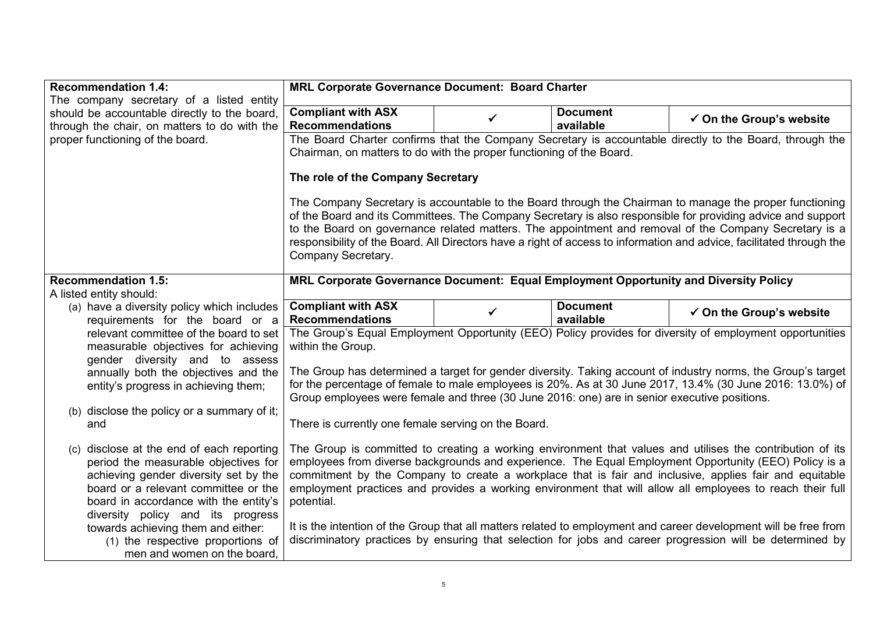| <b>Recommendation 1.4:</b>                                                    | MRL Corporate Governance Document: Board Charter                                             |              |                              |                                                                                                                                                                                                                                                                                                                                                                                                                                                         |  |  |  |  |
|-------------------------------------------------------------------------------|----------------------------------------------------------------------------------------------|--------------|------------------------------|---------------------------------------------------------------------------------------------------------------------------------------------------------------------------------------------------------------------------------------------------------------------------------------------------------------------------------------------------------------------------------------------------------------------------------------------------------|--|--|--|--|
| The company secretary of a listed entity                                      |                                                                                              |              |                              |                                                                                                                                                                                                                                                                                                                                                                                                                                                         |  |  |  |  |
| should be accountable directly to the board,                                  | <b>Compliant with ASX</b>                                                                    | ✓            | <b>Document</b>              | $\checkmark$ On the Group's website                                                                                                                                                                                                                                                                                                                                                                                                                     |  |  |  |  |
| through the chair, on matters to do with the                                  | <b>Recommendations</b>                                                                       |              | available                    |                                                                                                                                                                                                                                                                                                                                                                                                                                                         |  |  |  |  |
| proper functioning of the board.                                              |                                                                                              |              |                              | The Board Charter confirms that the Company Secretary is accountable directly to the Board, through the                                                                                                                                                                                                                                                                                                                                                 |  |  |  |  |
|                                                                               | Chairman, on matters to do with the proper functioning of the Board.                         |              |                              |                                                                                                                                                                                                                                                                                                                                                                                                                                                         |  |  |  |  |
|                                                                               | The role of the Company Secretary                                                            |              |                              |                                                                                                                                                                                                                                                                                                                                                                                                                                                         |  |  |  |  |
|                                                                               | Company Secretary.                                                                           |              |                              | The Company Secretary is accountable to the Board through the Chairman to manage the proper functioning<br>of the Board and its Committees. The Company Secretary is also responsible for providing advice and support<br>to the Board on governance related matters. The appointment and removal of the Company Secretary is a<br>responsibility of the Board. All Directors have a right of access to information and advice, facilitated through the |  |  |  |  |
| <b>Recommendation 1.5:</b>                                                    | MRL Corporate Governance Document: Equal Employment Opportunity and Diversity Policy         |              |                              |                                                                                                                                                                                                                                                                                                                                                                                                                                                         |  |  |  |  |
| A listed entity should:                                                       |                                                                                              |              |                              |                                                                                                                                                                                                                                                                                                                                                                                                                                                         |  |  |  |  |
| (a) have a diversity policy which includes                                    | <b>Compliant with ASX</b><br><b>Recommendations</b>                                          | $\checkmark$ | <b>Document</b><br>available | $\checkmark$ On the Group's website                                                                                                                                                                                                                                                                                                                                                                                                                     |  |  |  |  |
| requirements for the board or a<br>relevant committee of the board to set     |                                                                                              |              |                              | The Group's Equal Employment Opportunity (EEO) Policy provides for diversity of employment opportunities                                                                                                                                                                                                                                                                                                                                                |  |  |  |  |
| measurable objectives for achieving                                           | within the Group.                                                                            |              |                              |                                                                                                                                                                                                                                                                                                                                                                                                                                                         |  |  |  |  |
| gender diversity and to assess                                                |                                                                                              |              |                              |                                                                                                                                                                                                                                                                                                                                                                                                                                                         |  |  |  |  |
| annually both the objectives and the                                          |                                                                                              |              |                              | The Group has determined a target for gender diversity. Taking account of industry norms, the Group's target                                                                                                                                                                                                                                                                                                                                            |  |  |  |  |
| entity's progress in achieving them;                                          |                                                                                              |              |                              | for the percentage of female to male employees is 20%. As at 30 June 2017, 13.4% (30 June 2016: 13.0%) of                                                                                                                                                                                                                                                                                                                                               |  |  |  |  |
|                                                                               | Group employees were female and three (30 June 2016: one) are in senior executive positions. |              |                              |                                                                                                                                                                                                                                                                                                                                                                                                                                                         |  |  |  |  |
| (b) disclose the policy or a summary of it;                                   |                                                                                              |              |                              |                                                                                                                                                                                                                                                                                                                                                                                                                                                         |  |  |  |  |
| and                                                                           | There is currently one female serving on the Board.                                          |              |                              |                                                                                                                                                                                                                                                                                                                                                                                                                                                         |  |  |  |  |
|                                                                               |                                                                                              |              |                              |                                                                                                                                                                                                                                                                                                                                                                                                                                                         |  |  |  |  |
| (c) disclose at the end of each reporting                                     |                                                                                              |              |                              | The Group is committed to creating a working environment that values and utilises the contribution of its                                                                                                                                                                                                                                                                                                                                               |  |  |  |  |
| period the measurable objectives for                                          |                                                                                              |              |                              | employees from diverse backgrounds and experience. The Equal Employment Opportunity (EEO) Policy is a                                                                                                                                                                                                                                                                                                                                                   |  |  |  |  |
| achieving gender diversity set by the                                         |                                                                                              |              |                              | commitment by the Company to create a workplace that is fair and inclusive, applies fair and equitable                                                                                                                                                                                                                                                                                                                                                  |  |  |  |  |
| board or a relevant committee or the<br>board in accordance with the entity's | potential.                                                                                   |              |                              | employment practices and provides a working environment that will allow all employees to reach their full                                                                                                                                                                                                                                                                                                                                               |  |  |  |  |
| diversity policy and its progress                                             |                                                                                              |              |                              |                                                                                                                                                                                                                                                                                                                                                                                                                                                         |  |  |  |  |
| towards achieving them and either:                                            |                                                                                              |              |                              | It is the intention of the Group that all matters related to employment and career development will be free from                                                                                                                                                                                                                                                                                                                                        |  |  |  |  |
| (1) the respective proportions of                                             |                                                                                              |              |                              | discriminatory practices by ensuring that selection for jobs and career progression will be determined by                                                                                                                                                                                                                                                                                                                                               |  |  |  |  |
| men and women on the board,                                                   |                                                                                              |              |                              |                                                                                                                                                                                                                                                                                                                                                                                                                                                         |  |  |  |  |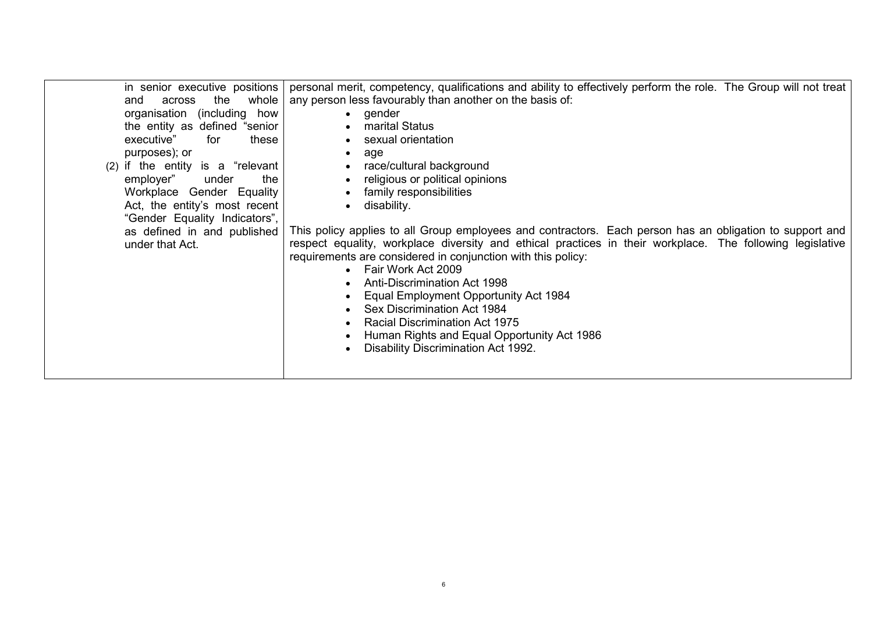| across<br>and<br>organisation (including<br>executive"<br>purposes); or<br>employer"<br>under that Act. | in senior executive positions<br>whole<br>the<br>how<br>the entity as defined "senior<br>for<br>these<br>$(2)$ if the entity is a "relevant<br>under<br>the<br>Workplace Gender Equality<br>Act, the entity's most recent<br>"Gender Equality Indicators",<br>as defined in and published | personal merit, competency, qualifications and ability to effectively perform the role. The Group will not treat<br>any person less favourably than another on the basis of:<br>$\bullet$ gender<br>marital Status<br>sexual orientation<br>age<br>$\bullet$<br>race/cultural background<br>$\bullet$<br>religious or political opinions<br>$\bullet$<br>family responsibilities<br>$\bullet$<br>disability.<br>$\bullet$<br>This policy applies to all Group employees and contractors. Each person has an obligation to support and<br>respect equality, workplace diversity and ethical practices in their workplace. The following legislative<br>requirements are considered in conjunction with this policy:<br>Fair Work Act 2009<br><b>Anti-Discrimination Act 1998</b><br>Equal Employment Opportunity Act 1984<br>Sex Discrimination Act 1984<br><b>Racial Discrimination Act 1975</b><br>Human Rights and Equal Opportunity Act 1986 |  |
|---------------------------------------------------------------------------------------------------------|-------------------------------------------------------------------------------------------------------------------------------------------------------------------------------------------------------------------------------------------------------------------------------------------|-------------------------------------------------------------------------------------------------------------------------------------------------------------------------------------------------------------------------------------------------------------------------------------------------------------------------------------------------------------------------------------------------------------------------------------------------------------------------------------------------------------------------------------------------------------------------------------------------------------------------------------------------------------------------------------------------------------------------------------------------------------------------------------------------------------------------------------------------------------------------------------------------------------------------------------------------|--|
|                                                                                                         |                                                                                                                                                                                                                                                                                           | Disability Discrimination Act 1992.                                                                                                                                                                                                                                                                                                                                                                                                                                                                                                                                                                                                                                                                                                                                                                                                                                                                                                             |  |
|                                                                                                         |                                                                                                                                                                                                                                                                                           |                                                                                                                                                                                                                                                                                                                                                                                                                                                                                                                                                                                                                                                                                                                                                                                                                                                                                                                                                 |  |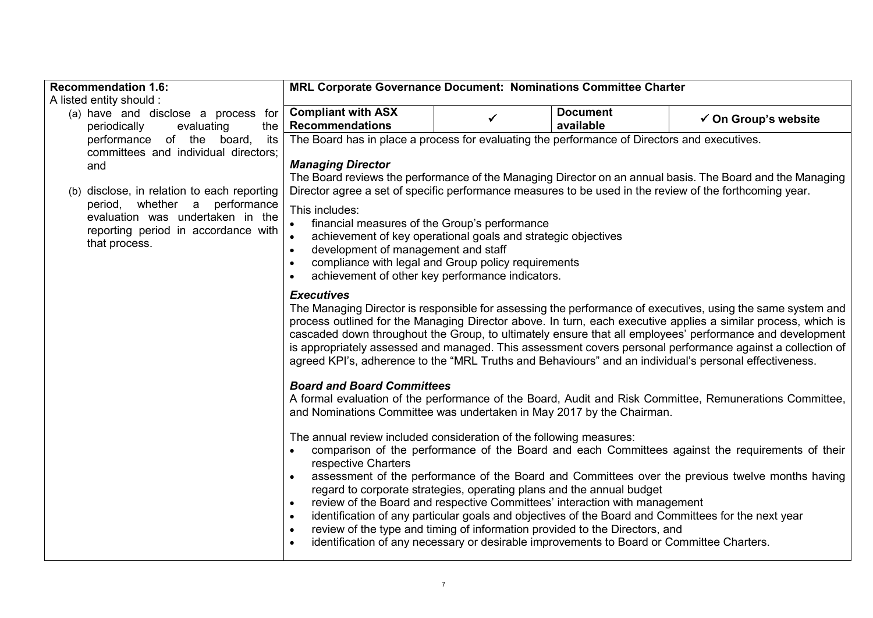| <b>Recommendation 1.6:</b>                                                                                                | <b>MRL Corporate Governance Document: Nominations Committee Charter</b>                                                                                                                                                                                                                                                                                                                                                                                                                                                                                                               |   |                 |                                                                                                                                                                                                                                                                                                             |  |  |  |
|---------------------------------------------------------------------------------------------------------------------------|---------------------------------------------------------------------------------------------------------------------------------------------------------------------------------------------------------------------------------------------------------------------------------------------------------------------------------------------------------------------------------------------------------------------------------------------------------------------------------------------------------------------------------------------------------------------------------------|---|-----------------|-------------------------------------------------------------------------------------------------------------------------------------------------------------------------------------------------------------------------------------------------------------------------------------------------------------|--|--|--|
| A listed entity should :                                                                                                  |                                                                                                                                                                                                                                                                                                                                                                                                                                                                                                                                                                                       |   |                 |                                                                                                                                                                                                                                                                                                             |  |  |  |
| (a) have and disclose a process for                                                                                       | <b>Compliant with ASX</b>                                                                                                                                                                                                                                                                                                                                                                                                                                                                                                                                                             | ✔ | <b>Document</b> | $\checkmark$ On Group's website                                                                                                                                                                                                                                                                             |  |  |  |
| periodically<br>evaluating<br>the                                                                                         | <b>Recommendations</b>                                                                                                                                                                                                                                                                                                                                                                                                                                                                                                                                                                |   | available       |                                                                                                                                                                                                                                                                                                             |  |  |  |
| performance of the board,<br>its<br>committees and individual directors;                                                  | The Board has in place a process for evaluating the performance of Directors and executives.                                                                                                                                                                                                                                                                                                                                                                                                                                                                                          |   |                 |                                                                                                                                                                                                                                                                                                             |  |  |  |
| and                                                                                                                       | <b>Managing Director</b>                                                                                                                                                                                                                                                                                                                                                                                                                                                                                                                                                              |   |                 |                                                                                                                                                                                                                                                                                                             |  |  |  |
|                                                                                                                           |                                                                                                                                                                                                                                                                                                                                                                                                                                                                                                                                                                                       |   |                 | The Board reviews the performance of the Managing Director on an annual basis. The Board and the Managing                                                                                                                                                                                                   |  |  |  |
| (b) disclose, in relation to each reporting                                                                               |                                                                                                                                                                                                                                                                                                                                                                                                                                                                                                                                                                                       |   |                 | Director agree a set of specific performance measures to be used in the review of the forthcoming year.                                                                                                                                                                                                     |  |  |  |
| period, whether a performance<br>evaluation was undertaken in the<br>reporting period in accordance with<br>that process. | financial measures of the Group's performance<br>achievement of key operational goals and strategic objectives<br>development of management and staff<br>compliance with legal and Group policy requirements<br>achievement of other key performance indicators.                                                                                                                                                                                                                                                                                                                      |   |                 |                                                                                                                                                                                                                                                                                                             |  |  |  |
|                                                                                                                           | <b>Executives</b><br>The Managing Director is responsible for assessing the performance of executives, using the same system and<br>process outlined for the Managing Director above. In turn, each executive applies a similar process, which is<br>cascaded down throughout the Group, to ultimately ensure that all employees' performance and development<br>is appropriately assessed and managed. This assessment covers personal performance against a collection of<br>agreed KPI's, adherence to the "MRL Truths and Behaviours" and an individual's personal effectiveness. |   |                 |                                                                                                                                                                                                                                                                                                             |  |  |  |
|                                                                                                                           | <b>Board and Board Committees</b><br>and Nominations Committee was undertaken in May 2017 by the Chairman.                                                                                                                                                                                                                                                                                                                                                                                                                                                                            |   |                 | A formal evaluation of the performance of the Board, Audit and Risk Committee, Remunerations Committee,                                                                                                                                                                                                     |  |  |  |
|                                                                                                                           | The annual review included consideration of the following measures:<br>respective Charters<br>regard to corporate strategies, operating plans and the annual budget<br>review of the Board and respective Committees' interaction with management<br>$\bullet$<br>review of the type and timing of information provided to the Directors, and<br>identification of any necessary or desirable improvements to Board or Committee Charters.                                                                                                                                            |   |                 | comparison of the performance of the Board and each Committees against the requirements of their<br>assessment of the performance of the Board and Committees over the previous twelve months having<br>identification of any particular goals and objectives of the Board and Committees for the next year |  |  |  |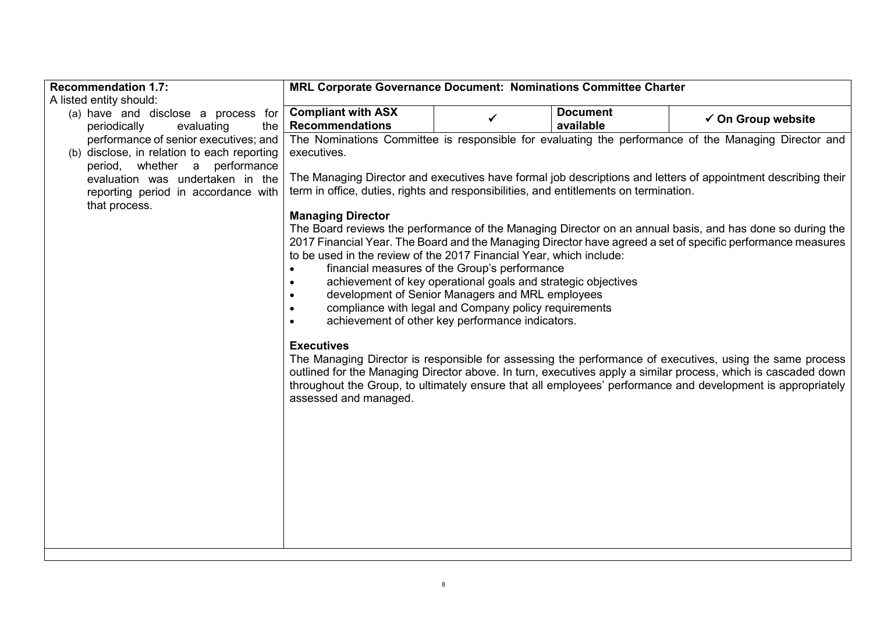| <b>Recommendation 1.7:</b>                                           | MRL Corporate Governance Document: Nominations Committee Charter                      |                                                                                                                   |                 |                                                                                                               |
|----------------------------------------------------------------------|---------------------------------------------------------------------------------------|-------------------------------------------------------------------------------------------------------------------|-----------------|---------------------------------------------------------------------------------------------------------------|
| A listed entity should:                                              |                                                                                       |                                                                                                                   |                 |                                                                                                               |
| (a) have and disclose a process for                                  | <b>Compliant with ASX</b>                                                             | ✓                                                                                                                 | <b>Document</b> | $\checkmark$ On Group website                                                                                 |
| periodically<br>evaluating<br>the                                    | <b>Recommendations</b>                                                                |                                                                                                                   | available       |                                                                                                               |
| performance of senior executives; and                                |                                                                                       |                                                                                                                   |                 | The Nominations Committee is responsible for evaluating the performance of the Managing Director and          |
| (b) disclose, in relation to each reporting                          | executives.                                                                           |                                                                                                                   |                 |                                                                                                               |
| whether a performance<br>period,<br>evaluation was undertaken in the |                                                                                       |                                                                                                                   |                 | The Managing Director and executives have formal job descriptions and letters of appointment describing their |
| reporting period in accordance with                                  | term in office, duties, rights and responsibilities, and entitlements on termination. |                                                                                                                   |                 |                                                                                                               |
| that process.                                                        |                                                                                       |                                                                                                                   |                 |                                                                                                               |
|                                                                      | <b>Managing Director</b>                                                              |                                                                                                                   |                 |                                                                                                               |
|                                                                      |                                                                                       |                                                                                                                   |                 | The Board reviews the performance of the Managing Director on an annual basis, and has done so during the     |
|                                                                      |                                                                                       |                                                                                                                   |                 | 2017 Financial Year. The Board and the Managing Director have agreed a set of specific performance measures   |
|                                                                      | to be used in the review of the 2017 Financial Year, which include:                   |                                                                                                                   |                 |                                                                                                               |
|                                                                      | $\bullet$                                                                             | financial measures of the Group's performance                                                                     |                 |                                                                                                               |
|                                                                      |                                                                                       | achievement of key operational goals and strategic objectives<br>development of Senior Managers and MRL employees |                 |                                                                                                               |
|                                                                      |                                                                                       | compliance with legal and Company policy requirements                                                             |                 |                                                                                                               |
|                                                                      |                                                                                       | achievement of other key performance indicators.                                                                  |                 |                                                                                                               |
|                                                                      |                                                                                       |                                                                                                                   |                 |                                                                                                               |
|                                                                      | <b>Executives</b>                                                                     |                                                                                                                   |                 |                                                                                                               |
|                                                                      |                                                                                       |                                                                                                                   |                 | The Managing Director is responsible for assessing the performance of executives, using the same process      |
|                                                                      |                                                                                       |                                                                                                                   |                 | outlined for the Managing Director above. In turn, executives apply a similar process, which is cascaded down |
|                                                                      |                                                                                       |                                                                                                                   |                 | throughout the Group, to ultimately ensure that all employees' performance and development is appropriately   |
|                                                                      | assessed and managed.                                                                 |                                                                                                                   |                 |                                                                                                               |
|                                                                      |                                                                                       |                                                                                                                   |                 |                                                                                                               |
|                                                                      |                                                                                       |                                                                                                                   |                 |                                                                                                               |
|                                                                      |                                                                                       |                                                                                                                   |                 |                                                                                                               |
|                                                                      |                                                                                       |                                                                                                                   |                 |                                                                                                               |
|                                                                      |                                                                                       |                                                                                                                   |                 |                                                                                                               |
|                                                                      |                                                                                       |                                                                                                                   |                 |                                                                                                               |
|                                                                      |                                                                                       |                                                                                                                   |                 |                                                                                                               |
|                                                                      |                                                                                       |                                                                                                                   |                 |                                                                                                               |
|                                                                      |                                                                                       |                                                                                                                   |                 |                                                                                                               |
|                                                                      |                                                                                       |                                                                                                                   |                 |                                                                                                               |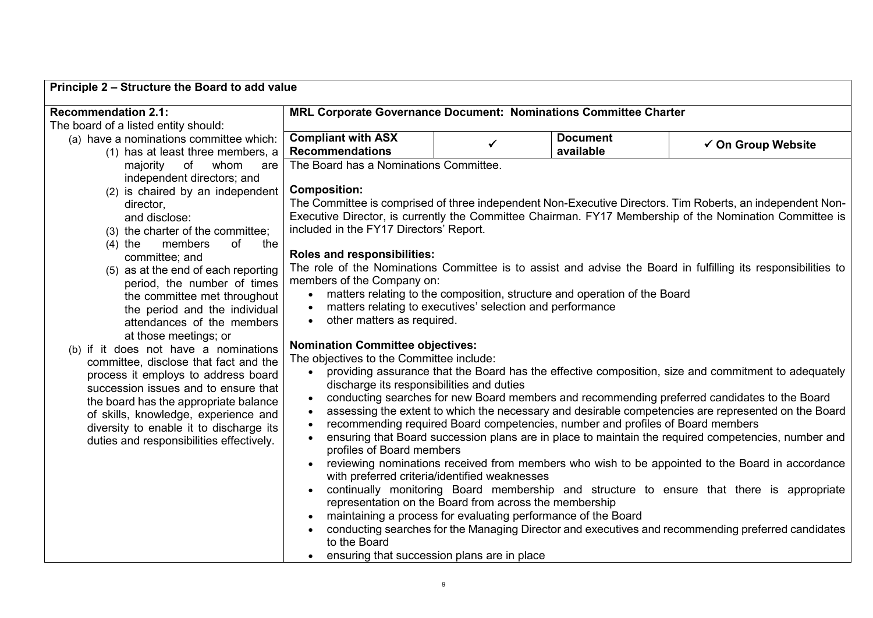| Principle 2 - Structure the Board to add value                               |                                                                                                         |              |                                                                                |                                                                                                               |  |  |  |
|------------------------------------------------------------------------------|---------------------------------------------------------------------------------------------------------|--------------|--------------------------------------------------------------------------------|---------------------------------------------------------------------------------------------------------------|--|--|--|
| <b>Recommendation 2.1:</b>                                                   | MRL Corporate Governance Document: Nominations Committee Charter                                        |              |                                                                                |                                                                                                               |  |  |  |
| The board of a listed entity should:                                         |                                                                                                         |              |                                                                                |                                                                                                               |  |  |  |
| (a) have a nominations committee which:<br>(1) has at least three members, a | <b>Compliant with ASX</b><br><b>Recommendations</b>                                                     | $\checkmark$ | <b>Document</b><br>available                                                   | ✔ On Group Website                                                                                            |  |  |  |
| of<br>whom<br>majority<br>are                                                | The Board has a Nominations Committee.                                                                  |              |                                                                                |                                                                                                               |  |  |  |
| independent directors; and                                                   |                                                                                                         |              |                                                                                |                                                                                                               |  |  |  |
| (2) is chaired by an independent                                             | <b>Composition:</b>                                                                                     |              |                                                                                |                                                                                                               |  |  |  |
| director,                                                                    |                                                                                                         |              |                                                                                | The Committee is comprised of three independent Non-Executive Directors. Tim Roberts, an independent Non-     |  |  |  |
| and disclose:                                                                | Executive Director, is currently the Committee Chairman. FY17 Membership of the Nomination Committee is |              |                                                                                |                                                                                                               |  |  |  |
| (3) the charter of the committee;                                            | included in the FY17 Directors' Report.                                                                 |              |                                                                                |                                                                                                               |  |  |  |
| members<br>of<br>$(4)$ the<br>the                                            | Roles and responsibilities:                                                                             |              |                                                                                |                                                                                                               |  |  |  |
| committee; and<br>(5) as at the end of each reporting                        |                                                                                                         |              |                                                                                | The role of the Nominations Committee is to assist and advise the Board in fulfilling its responsibilities to |  |  |  |
| period, the number of times                                                  | members of the Company on:                                                                              |              |                                                                                |                                                                                                               |  |  |  |
| the committee met throughout                                                 | $\bullet$                                                                                               |              | matters relating to the composition, structure and operation of the Board      |                                                                                                               |  |  |  |
| the period and the individual                                                | matters relating to executives' selection and performance<br>$\bullet$                                  |              |                                                                                |                                                                                                               |  |  |  |
| attendances of the members                                                   | other matters as required.<br>$\bullet$                                                                 |              |                                                                                |                                                                                                               |  |  |  |
| at those meetings; or                                                        | <b>Nomination Committee objectives:</b>                                                                 |              |                                                                                |                                                                                                               |  |  |  |
| (b) if it does not have a nominations                                        | The objectives to the Committee include:                                                                |              |                                                                                |                                                                                                               |  |  |  |
| committee, disclose that fact and the<br>process it employs to address board | $\bullet$                                                                                               |              |                                                                                | providing assurance that the Board has the effective composition, size and commitment to adequately           |  |  |  |
| succession issues and to ensure that                                         | discharge its responsibilities and duties                                                               |              |                                                                                |                                                                                                               |  |  |  |
| the board has the appropriate balance                                        | $\bullet$                                                                                               |              |                                                                                | conducting searches for new Board members and recommending preferred candidates to the Board                  |  |  |  |
| of skills, knowledge, experience and                                         | $\bullet$                                                                                               |              |                                                                                | assessing the extent to which the necessary and desirable competencies are represented on the Board           |  |  |  |
| diversity to enable it to discharge its                                      |                                                                                                         |              | recommending required Board competencies, number and profiles of Board members |                                                                                                               |  |  |  |
| duties and responsibilities effectively.                                     | $\bullet$<br>profiles of Board members                                                                  |              |                                                                                | ensuring that Board succession plans are in place to maintain the required competencies, number and           |  |  |  |
|                                                                              | $\bullet$                                                                                               |              |                                                                                | reviewing nominations received from members who wish to be appointed to the Board in accordance               |  |  |  |
|                                                                              | with preferred criteria/identified weaknesses                                                           |              |                                                                                |                                                                                                               |  |  |  |
|                                                                              |                                                                                                         |              |                                                                                | continually monitoring Board membership and structure to ensure that there is appropriate                     |  |  |  |
|                                                                              | representation on the Board from across the membership                                                  |              |                                                                                |                                                                                                               |  |  |  |
|                                                                              | maintaining a process for evaluating performance of the Board                                           |              |                                                                                |                                                                                                               |  |  |  |
|                                                                              |                                                                                                         |              |                                                                                | conducting searches for the Managing Director and executives and recommending preferred candidates            |  |  |  |
|                                                                              | to the Board<br>ensuring that succession plans are in place                                             |              |                                                                                |                                                                                                               |  |  |  |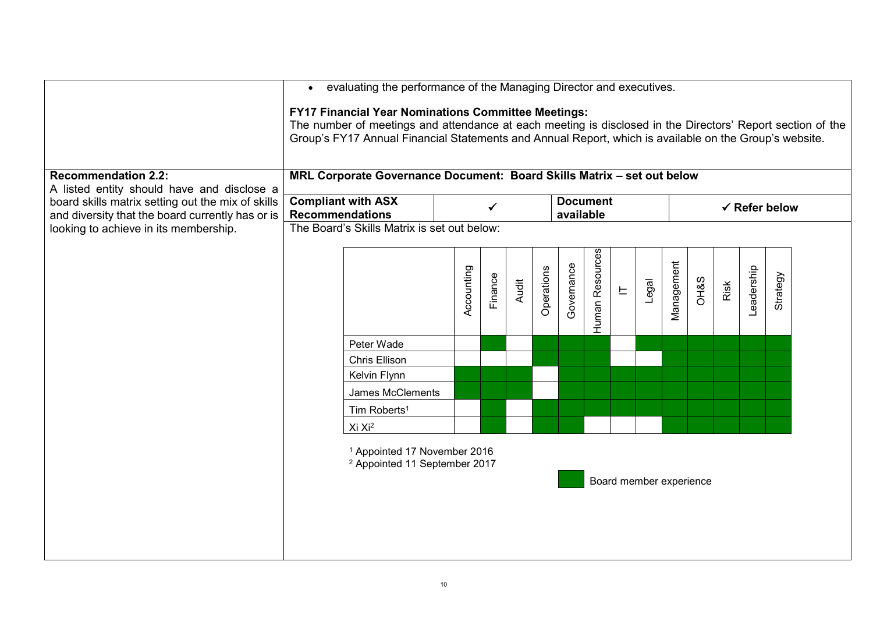|                                                                                                                               | evaluating the performance of the Managing Director and executives.<br>$\bullet$                                            |                                                                                                                                                                                                                                                                                    |            |         |       |            |                          |                 |                         |       |            |                 |      |            |          |  |
|-------------------------------------------------------------------------------------------------------------------------------|-----------------------------------------------------------------------------------------------------------------------------|------------------------------------------------------------------------------------------------------------------------------------------------------------------------------------------------------------------------------------------------------------------------------------|------------|---------|-------|------------|--------------------------|-----------------|-------------------------|-------|------------|-----------------|------|------------|----------|--|
|                                                                                                                               |                                                                                                                             | <b>FY17 Financial Year Nominations Committee Meetings:</b><br>The number of meetings and attendance at each meeting is disclosed in the Directors' Report section of the<br>Group's FY17 Annual Financial Statements and Annual Report, which is available on the Group's website. |            |         |       |            |                          |                 |                         |       |            |                 |      |            |          |  |
| <b>Recommendation 2.2:</b><br>A listed entity should have and disclose a<br>board skills matrix setting out the mix of skills | MRL Corporate Governance Document: Board Skills Matrix - set out below<br><b>Compliant with ASX</b><br><b>Document</b><br>✓ |                                                                                                                                                                                                                                                                                    |            |         |       |            | $\checkmark$ Refer below |                 |                         |       |            |                 |      |            |          |  |
| and diversity that the board currently has or is<br>looking to achieve in its membership.                                     | <b>Recommendations</b>                                                                                                      | The Board's Skills Matrix is set out below:                                                                                                                                                                                                                                        |            |         |       |            | available                |                 |                         |       |            |                 |      |            |          |  |
|                                                                                                                               |                                                                                                                             |                                                                                                                                                                                                                                                                                    |            |         |       |            |                          |                 |                         |       |            |                 |      |            |          |  |
|                                                                                                                               |                                                                                                                             |                                                                                                                                                                                                                                                                                    | Accounting | Finance | Audit | Operations | Governance               | Human Resources | $\mathrel{\sqsubseteq}$ | Legal | Management | <b>OH&amp;S</b> | Risk | Leadership | Strategy |  |
|                                                                                                                               |                                                                                                                             | Peter Wade                                                                                                                                                                                                                                                                         |            |         |       |            |                          |                 |                         |       |            |                 |      |            |          |  |
|                                                                                                                               |                                                                                                                             | <b>Chris Ellison</b>                                                                                                                                                                                                                                                               |            |         |       |            |                          |                 |                         |       |            |                 |      |            |          |  |
|                                                                                                                               |                                                                                                                             | Kelvin Flynn                                                                                                                                                                                                                                                                       |            |         |       |            |                          |                 |                         |       |            |                 |      |            |          |  |
|                                                                                                                               |                                                                                                                             | James McClements                                                                                                                                                                                                                                                                   |            |         |       |            |                          |                 |                         |       |            |                 |      |            |          |  |
|                                                                                                                               |                                                                                                                             | Tim Roberts <sup>1</sup>                                                                                                                                                                                                                                                           |            |         |       |            |                          |                 |                         |       |            |                 |      |            |          |  |
|                                                                                                                               |                                                                                                                             | Xi Xi <sup>2</sup>                                                                                                                                                                                                                                                                 |            |         |       |            |                          |                 |                         |       |            |                 |      |            |          |  |
|                                                                                                                               |                                                                                                                             | <sup>1</sup> Appointed 17 November 2016<br><sup>2</sup> Appointed 11 September 2017                                                                                                                                                                                                |            |         |       |            |                          |                 | Board member experience |       |            |                 |      |            |          |  |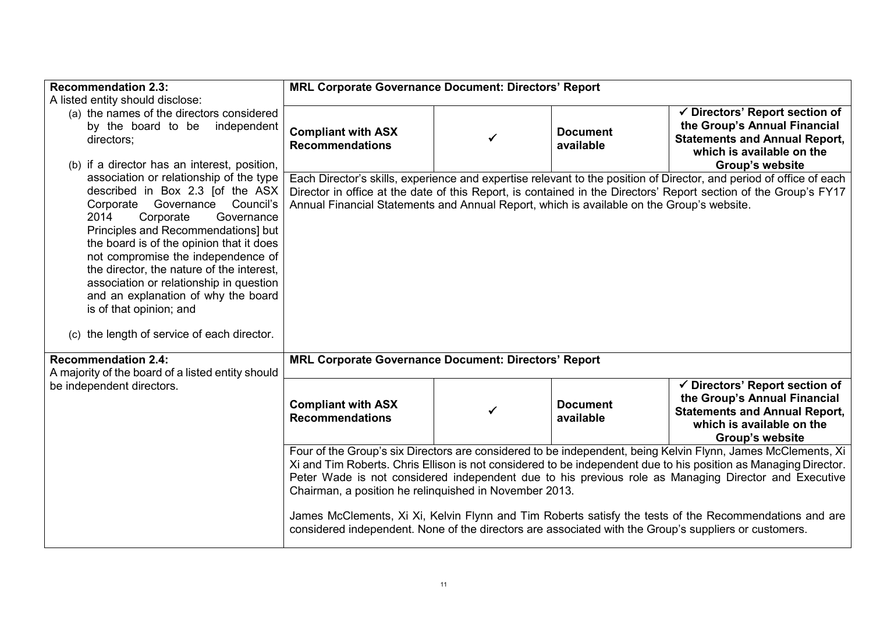| <b>Recommendation 2.3:</b>                                                                                                                                                                                                                                                                                                                                                                                                                                                               | <b>MRL Corporate Governance Document: Directors' Report</b>                                                                                                                                                                                                                                                                          |              |                              |                                                                                                                                                        |  |  |  |  |
|------------------------------------------------------------------------------------------------------------------------------------------------------------------------------------------------------------------------------------------------------------------------------------------------------------------------------------------------------------------------------------------------------------------------------------------------------------------------------------------|--------------------------------------------------------------------------------------------------------------------------------------------------------------------------------------------------------------------------------------------------------------------------------------------------------------------------------------|--------------|------------------------------|--------------------------------------------------------------------------------------------------------------------------------------------------------|--|--|--|--|
| A listed entity should disclose:                                                                                                                                                                                                                                                                                                                                                                                                                                                         |                                                                                                                                                                                                                                                                                                                                      |              |                              |                                                                                                                                                        |  |  |  |  |
| (a) the names of the directors considered<br>by the board to be independent<br>directors;                                                                                                                                                                                                                                                                                                                                                                                                | <b>Compliant with ASX</b><br><b>Recommendations</b>                                                                                                                                                                                                                                                                                  | ✓            | <b>Document</b><br>available | √ Directors' Report section of<br>the Group's Annual Financial<br><b>Statements and Annual Report,</b><br>which is available on the                    |  |  |  |  |
| (b) if a director has an interest, position,                                                                                                                                                                                                                                                                                                                                                                                                                                             |                                                                                                                                                                                                                                                                                                                                      |              |                              | <b>Group's website</b>                                                                                                                                 |  |  |  |  |
| association or relationship of the type<br>described in Box 2.3 [of the ASX<br>Governance<br>Council's<br>Corporate<br>Corporate<br>2014<br>Governance<br>Principles and Recommendations] but<br>the board is of the opinion that it does<br>not compromise the independence of<br>the director, the nature of the interest,<br>association or relationship in question<br>and an explanation of why the board<br>is of that opinion; and<br>(c) the length of service of each director. | Each Director's skills, experience and expertise relevant to the position of Director, and period of office of each<br>Director in office at the date of this Report, is contained in the Directors' Report section of the Group's FY17<br>Annual Financial Statements and Annual Report, which is available on the Group's website. |              |                              |                                                                                                                                                        |  |  |  |  |
| <b>Recommendation 2.4:</b><br>A majority of the board of a listed entity should                                                                                                                                                                                                                                                                                                                                                                                                          | <b>MRL Corporate Governance Document: Directors' Report</b>                                                                                                                                                                                                                                                                          |              |                              |                                                                                                                                                        |  |  |  |  |
| be independent directors.                                                                                                                                                                                                                                                                                                                                                                                                                                                                | <b>Compliant with ASX</b><br><b>Recommendations</b>                                                                                                                                                                                                                                                                                  | $\checkmark$ | <b>Document</b><br>available | ✔ Directors' Report section of<br>the Group's Annual Financial<br><b>Statements and Annual Report,</b><br>which is available on the<br>Group's website |  |  |  |  |
| Four of the Group's six Directors are considered to be independent, being Kelvin Flynn, James McClements, Xi<br>Xi and Tim Roberts. Chris Ellison is not considered to be independent due to his position as Managing Director.<br>Peter Wade is not considered independent due to his previous role as Managing Director and Executive<br>Chairman, a position he relinguished in November 2013.                                                                                        |                                                                                                                                                                                                                                                                                                                                      |              |                              |                                                                                                                                                        |  |  |  |  |
|                                                                                                                                                                                                                                                                                                                                                                                                                                                                                          | considered independent. None of the directors are associated with the Group's suppliers or customers.                                                                                                                                                                                                                                |              |                              | James McClements, Xi Xi, Kelvin Flynn and Tim Roberts satisfy the tests of the Recommendations and are                                                 |  |  |  |  |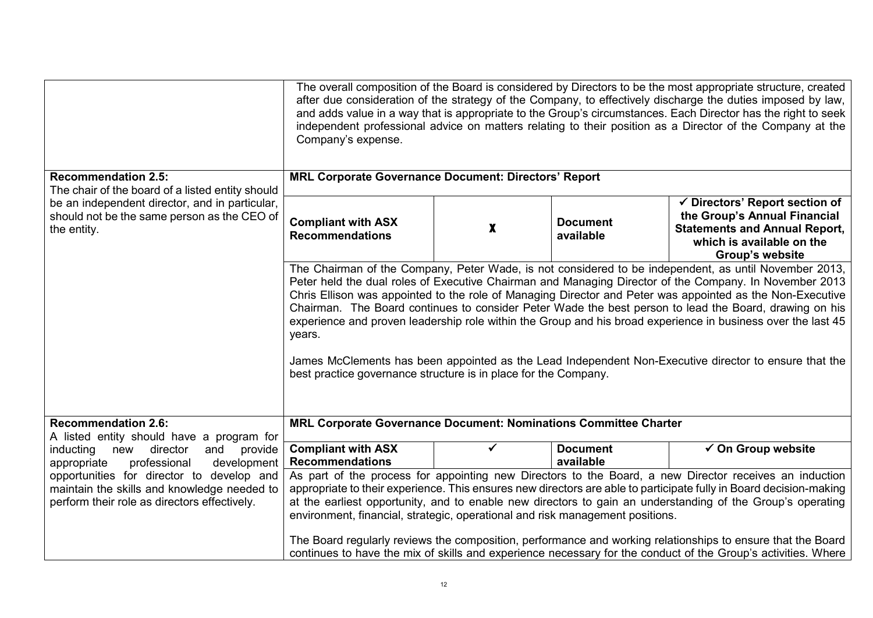|                                                                                                                                                                  | The overall composition of the Board is considered by Directors to be the most appropriate structure, created<br>after due consideration of the strategy of the Company, to effectively discharge the duties imposed by law,<br>and adds value in a way that is appropriate to the Group's circumstances. Each Director has the right to seek<br>independent professional advice on matters relating to their position as a Director of the Company at the<br>Company's expense.                                                                                                                                                                                                                                                             |   |                              |                                                                                                                                                                                                                              |  |  |  |
|------------------------------------------------------------------------------------------------------------------------------------------------------------------|----------------------------------------------------------------------------------------------------------------------------------------------------------------------------------------------------------------------------------------------------------------------------------------------------------------------------------------------------------------------------------------------------------------------------------------------------------------------------------------------------------------------------------------------------------------------------------------------------------------------------------------------------------------------------------------------------------------------------------------------|---|------------------------------|------------------------------------------------------------------------------------------------------------------------------------------------------------------------------------------------------------------------------|--|--|--|
| <b>Recommendation 2.5:</b>                                                                                                                                       | <b>MRL Corporate Governance Document: Directors' Report</b>                                                                                                                                                                                                                                                                                                                                                                                                                                                                                                                                                                                                                                                                                  |   |                              |                                                                                                                                                                                                                              |  |  |  |
| The chair of the board of a listed entity should<br>be an independent director, and in particular,<br>should not be the same person as the CEO of<br>the entity. | <b>Compliant with ASX</b><br><b>Recommendations</b>                                                                                                                                                                                                                                                                                                                                                                                                                                                                                                                                                                                                                                                                                          | X | <b>Document</b><br>available | $\checkmark$ Directors' Report section of<br>the Group's Annual Financial<br><b>Statements and Annual Report,</b><br>which is available on the<br><b>Group's website</b>                                                     |  |  |  |
|                                                                                                                                                                  | The Chairman of the Company, Peter Wade, is not considered to be independent, as until November 2013,<br>Peter held the dual roles of Executive Chairman and Managing Director of the Company. In November 2013<br>Chris Ellison was appointed to the role of Managing Director and Peter was appointed as the Non-Executive<br>Chairman. The Board continues to consider Peter Wade the best person to lead the Board, drawing on his<br>experience and proven leadership role within the Group and his broad experience in business over the last 45<br>years.<br>James McClements has been appointed as the Lead Independent Non-Executive director to ensure that the<br>best practice governance structure is in place for the Company. |   |                              |                                                                                                                                                                                                                              |  |  |  |
| <b>Recommendation 2.6:</b>                                                                                                                                       | MRL Corporate Governance Document: Nominations Committee Charter                                                                                                                                                                                                                                                                                                                                                                                                                                                                                                                                                                                                                                                                             |   |                              |                                                                                                                                                                                                                              |  |  |  |
| A listed entity should have a program for<br>director<br>and<br>inducting<br>new<br>provide<br>professional<br>development<br>appropriate                        | <b>Compliant with ASX</b><br><b>Recommendations</b>                                                                                                                                                                                                                                                                                                                                                                                                                                                                                                                                                                                                                                                                                          | ✓ | <b>Document</b><br>available | $\checkmark$ On Group website                                                                                                                                                                                                |  |  |  |
| opportunities for director to develop and<br>maintain the skills and knowledge needed to<br>perform their role as directors effectively.                         | As part of the process for appointing new Directors to the Board, a new Director receives an induction<br>appropriate to their experience. This ensures new directors are able to participate fully in Board decision-making<br>at the earliest opportunity, and to enable new directors to gain an understanding of the Group's operating<br>environment, financial, strategic, operational and risk management positions.                                                                                                                                                                                                                                                                                                                  |   |                              |                                                                                                                                                                                                                              |  |  |  |
|                                                                                                                                                                  |                                                                                                                                                                                                                                                                                                                                                                                                                                                                                                                                                                                                                                                                                                                                              |   |                              | The Board regularly reviews the composition, performance and working relationships to ensure that the Board<br>continues to have the mix of skills and experience necessary for the conduct of the Group's activities. Where |  |  |  |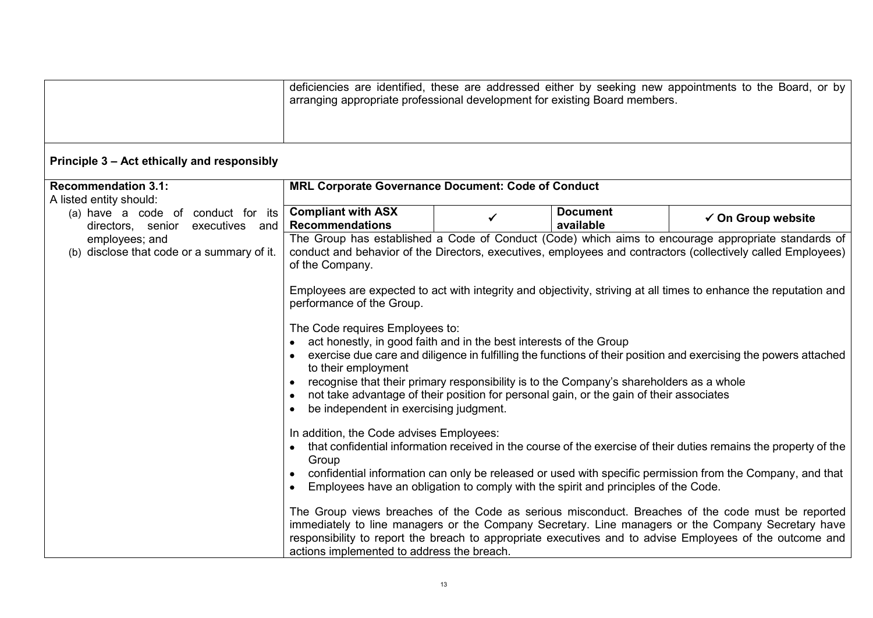|                                                                        | arranging appropriate professional development for existing Board members.                                                                                                                                                                                                  |   |                                                                                                                                                                                                                                                                          | deficiencies are identified, these are addressed either by seeking new appointments to the Board, or by                                                                                                                                                                                                                                                                                                                                                                                                                                                                                                                                                                                                                                                                                            |
|------------------------------------------------------------------------|-----------------------------------------------------------------------------------------------------------------------------------------------------------------------------------------------------------------------------------------------------------------------------|---|--------------------------------------------------------------------------------------------------------------------------------------------------------------------------------------------------------------------------------------------------------------------------|----------------------------------------------------------------------------------------------------------------------------------------------------------------------------------------------------------------------------------------------------------------------------------------------------------------------------------------------------------------------------------------------------------------------------------------------------------------------------------------------------------------------------------------------------------------------------------------------------------------------------------------------------------------------------------------------------------------------------------------------------------------------------------------------------|
| Principle 3 - Act ethically and responsibly                            |                                                                                                                                                                                                                                                                             |   |                                                                                                                                                                                                                                                                          |                                                                                                                                                                                                                                                                                                                                                                                                                                                                                                                                                                                                                                                                                                                                                                                                    |
| <b>Recommendation 3.1:</b><br>A listed entity should:                  | MRL Corporate Governance Document: Code of Conduct                                                                                                                                                                                                                          |   |                                                                                                                                                                                                                                                                          |                                                                                                                                                                                                                                                                                                                                                                                                                                                                                                                                                                                                                                                                                                                                                                                                    |
| (a) have a code of conduct for its<br>directors, senior executives and | <b>Compliant with ASX</b><br><b>Recommendations</b>                                                                                                                                                                                                                         | ✓ | <b>Document</b><br>available                                                                                                                                                                                                                                             | $\checkmark$ On Group website                                                                                                                                                                                                                                                                                                                                                                                                                                                                                                                                                                                                                                                                                                                                                                      |
| employees; and<br>(b) disclose that code or a summary of it.           | of the Company.<br>performance of the Group.<br>The Code requires Employees to:<br>act honestly, in good faith and in the best interests of the Group<br>to their employment<br>be independent in exercising judgment.<br>In addition, the Code advises Employees:<br>Group |   | recognise that their primary responsibility is to the Company's shareholders as a whole<br>not take advantage of their position for personal gain, or the gain of their associates<br>Employees have an obligation to comply with the spirit and principles of the Code. | The Group has established a Code of Conduct (Code) which aims to encourage appropriate standards of<br>conduct and behavior of the Directors, executives, employees and contractors (collectively called Employees)<br>Employees are expected to act with integrity and objectivity, striving at all times to enhance the reputation and<br>exercise due care and diligence in fulfilling the functions of their position and exercising the powers attached<br>that confidential information received in the course of the exercise of their duties remains the property of the<br>confidential information can only be released or used with specific permission from the Company, and that<br>The Group views breaches of the Code as serious misconduct. Breaches of the code must be reported |
|                                                                        | actions implemented to address the breach.                                                                                                                                                                                                                                  |   |                                                                                                                                                                                                                                                                          | immediately to line managers or the Company Secretary. Line managers or the Company Secretary have<br>responsibility to report the breach to appropriate executives and to advise Employees of the outcome and                                                                                                                                                                                                                                                                                                                                                                                                                                                                                                                                                                                     |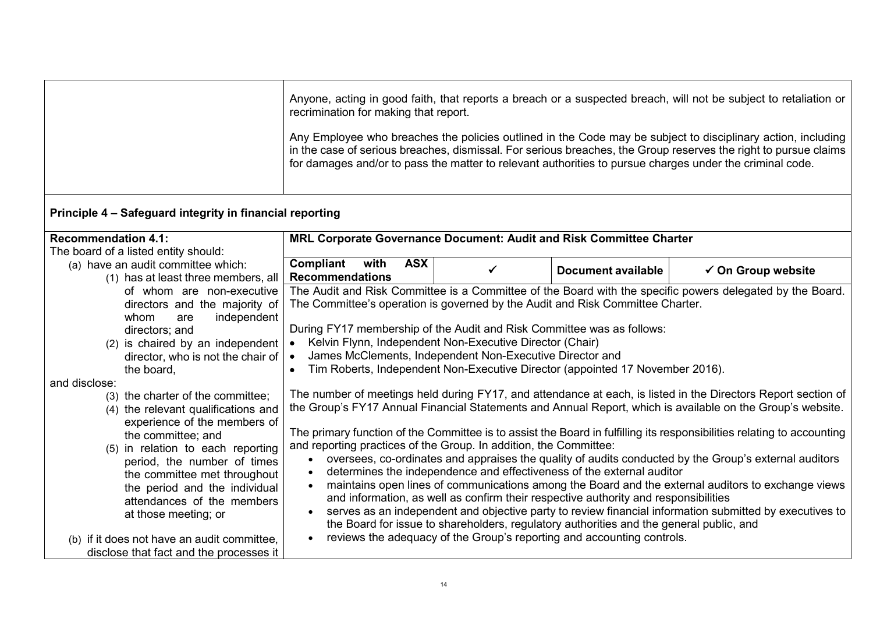|                                                                                                                                                                                                                                                                                                                                                                                                                                                                                                                                                                                                                                           | recrimination for making that report.<br>for damages and/or to pass the matter to relevant authorities to pursue charges under the criminal code.                                                                                                                                                                                                                               |   |                                                                                                                                                                                                                                                                                                                                                                                                                    | Anyone, acting in good faith, that reports a breach or a suspected breach, will not be subject to retaliation or<br>Any Employee who breaches the policies outlined in the Code may be subject to disciplinary action, including<br>in the case of serious breaches, dismissal. For serious breaches, the Group reserves the right to pursue claims                                                                                                                                                                                                                                                                                                                                                                                                                                          |  |
|-------------------------------------------------------------------------------------------------------------------------------------------------------------------------------------------------------------------------------------------------------------------------------------------------------------------------------------------------------------------------------------------------------------------------------------------------------------------------------------------------------------------------------------------------------------------------------------------------------------------------------------------|---------------------------------------------------------------------------------------------------------------------------------------------------------------------------------------------------------------------------------------------------------------------------------------------------------------------------------------------------------------------------------|---|--------------------------------------------------------------------------------------------------------------------------------------------------------------------------------------------------------------------------------------------------------------------------------------------------------------------------------------------------------------------------------------------------------------------|----------------------------------------------------------------------------------------------------------------------------------------------------------------------------------------------------------------------------------------------------------------------------------------------------------------------------------------------------------------------------------------------------------------------------------------------------------------------------------------------------------------------------------------------------------------------------------------------------------------------------------------------------------------------------------------------------------------------------------------------------------------------------------------------|--|
| Principle 4 - Safeguard integrity in financial reporting                                                                                                                                                                                                                                                                                                                                                                                                                                                                                                                                                                                  |                                                                                                                                                                                                                                                                                                                                                                                 |   |                                                                                                                                                                                                                                                                                                                                                                                                                    |                                                                                                                                                                                                                                                                                                                                                                                                                                                                                                                                                                                                                                                                                                                                                                                              |  |
| <b>Recommendation 4.1:</b>                                                                                                                                                                                                                                                                                                                                                                                                                                                                                                                                                                                                                | MRL Corporate Governance Document: Audit and Risk Committee Charter                                                                                                                                                                                                                                                                                                             |   |                                                                                                                                                                                                                                                                                                                                                                                                                    |                                                                                                                                                                                                                                                                                                                                                                                                                                                                                                                                                                                                                                                                                                                                                                                              |  |
| The board of a listed entity should:<br>(a) have an audit committee which:<br>(1) has at least three members, all                                                                                                                                                                                                                                                                                                                                                                                                                                                                                                                         | Compliant<br><b>ASX</b><br>with<br><b>Recommendations</b>                                                                                                                                                                                                                                                                                                                       | ✓ | <b>Document available</b>                                                                                                                                                                                                                                                                                                                                                                                          | $\checkmark$ On Group website                                                                                                                                                                                                                                                                                                                                                                                                                                                                                                                                                                                                                                                                                                                                                                |  |
| of whom are non-executive<br>directors and the majority of<br>independent<br>whom<br>are<br>directors; and<br>(2) is chaired by an independent<br>director, who is not the chair of<br>the board,<br>and disclose:<br>(3) the charter of the committee;<br>(4) the relevant qualifications and<br>experience of the members of<br>the committee; and<br>(5) in relation to each reporting<br>period, the number of times<br>the committee met throughout<br>the period and the individual<br>attendances of the members<br>at those meeting; or<br>(b) if it does not have an audit committee,<br>disclose that fact and the processes it | The Committee's operation is governed by the Audit and Risk Committee Charter.<br>During FY17 membership of the Audit and Risk Committee was as follows:<br>Kelvin Flynn, Independent Non-Executive Director (Chair)<br>James McClements, Independent Non-Executive Director and<br>and reporting practices of the Group. In addition, the Committee:<br>$\bullet$<br>$\bullet$ |   | Tim Roberts, Independent Non-Executive Director (appointed 17 November 2016).<br>determines the independence and effectiveness of the external auditor<br>and information, as well as confirm their respective authority and responsibilities<br>the Board for issue to shareholders, regulatory authorities and the general public, and<br>reviews the adequacy of the Group's reporting and accounting controls. | The Audit and Risk Committee is a Committee of the Board with the specific powers delegated by the Board.<br>The number of meetings held during FY17, and attendance at each, is listed in the Directors Report section of<br>the Group's FY17 Annual Financial Statements and Annual Report, which is available on the Group's website.<br>The primary function of the Committee is to assist the Board in fulfilling its responsibilities relating to accounting<br>oversees, co-ordinates and appraises the quality of audits conducted by the Group's external auditors<br>maintains open lines of communications among the Board and the external auditors to exchange views<br>serves as an independent and objective party to review financial information submitted by executives to |  |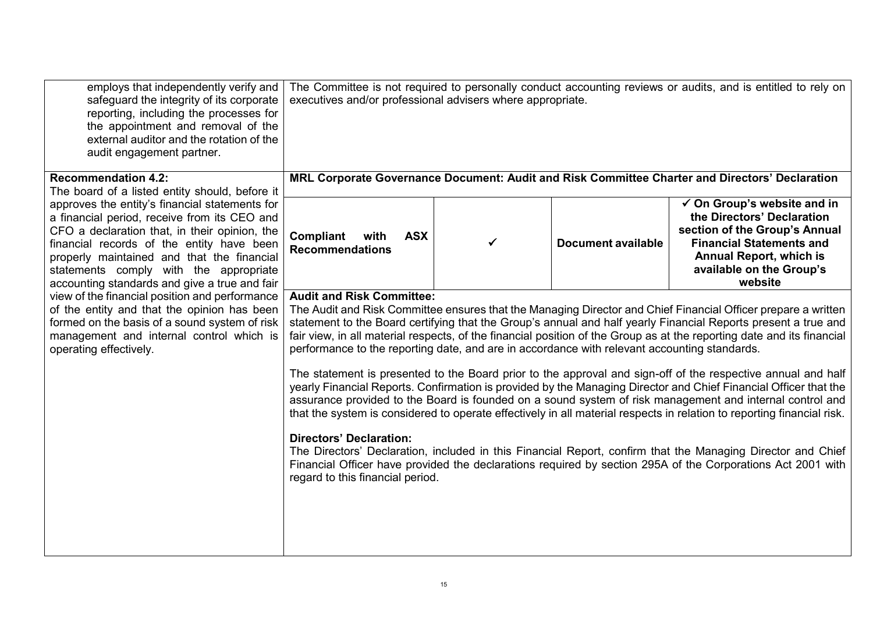| employs that independently verify and<br>safeguard the integrity of its corporate<br>reporting, including the processes for<br>the appointment and removal of the<br>external auditor and the rotation of the<br>audit engagement partner.                                                                                            | The Committee is not required to personally conduct accounting reviews or audits, and is entitled to rely on<br>executives and/or professional advisers where appropriate.<br>MRL Corporate Governance Document: Audit and Risk Committee Charter and Directors' Declaration |   |                           |                                                                                                                                                                                                                                                                                                                                                                                                                                                                                                                                                                                                                                                                                                                                                                                                                                                                                                                                                                                                                                                                   |
|---------------------------------------------------------------------------------------------------------------------------------------------------------------------------------------------------------------------------------------------------------------------------------------------------------------------------------------|------------------------------------------------------------------------------------------------------------------------------------------------------------------------------------------------------------------------------------------------------------------------------|---|---------------------------|-------------------------------------------------------------------------------------------------------------------------------------------------------------------------------------------------------------------------------------------------------------------------------------------------------------------------------------------------------------------------------------------------------------------------------------------------------------------------------------------------------------------------------------------------------------------------------------------------------------------------------------------------------------------------------------------------------------------------------------------------------------------------------------------------------------------------------------------------------------------------------------------------------------------------------------------------------------------------------------------------------------------------------------------------------------------|
| <b>Recommendation 4.2:</b><br>The board of a listed entity should, before it                                                                                                                                                                                                                                                          |                                                                                                                                                                                                                                                                              |   |                           |                                                                                                                                                                                                                                                                                                                                                                                                                                                                                                                                                                                                                                                                                                                                                                                                                                                                                                                                                                                                                                                                   |
| approves the entity's financial statements for<br>a financial period, receive from its CEO and<br>CFO a declaration that, in their opinion, the<br>financial records of the entity have been<br>properly maintained and that the financial<br>statements comply with the appropriate<br>accounting standards and give a true and fair | Compliant<br><b>ASX</b><br>with<br><b>Recommendations</b>                                                                                                                                                                                                                    | ✓ | <b>Document available</b> | $\checkmark$ On Group's website and in<br>the Directors' Declaration<br>section of the Group's Annual<br><b>Financial Statements and</b><br><b>Annual Report, which is</b><br>available on the Group's<br>website                                                                                                                                                                                                                                                                                                                                                                                                                                                                                                                                                                                                                                                                                                                                                                                                                                                 |
| view of the financial position and performance<br>of the entity and that the opinion has been<br>formed on the basis of a sound system of risk<br>management and internal control which is<br>operating effectively.                                                                                                                  | <b>Audit and Risk Committee:</b><br>performance to the reporting date, and are in accordance with relevant accounting standards.<br><b>Directors' Declaration:</b><br>regard to this financial period.                                                                       |   |                           | The Audit and Risk Committee ensures that the Managing Director and Chief Financial Officer prepare a written<br>statement to the Board certifying that the Group's annual and half yearly Financial Reports present a true and<br>fair view, in all material respects, of the financial position of the Group as at the reporting date and its financial<br>The statement is presented to the Board prior to the approval and sign-off of the respective annual and half<br>yearly Financial Reports. Confirmation is provided by the Managing Director and Chief Financial Officer that the<br>assurance provided to the Board is founded on a sound system of risk management and internal control and<br>that the system is considered to operate effectively in all material respects in relation to reporting financial risk.<br>The Directors' Declaration, included in this Financial Report, confirm that the Managing Director and Chief<br>Financial Officer have provided the declarations required by section 295A of the Corporations Act 2001 with |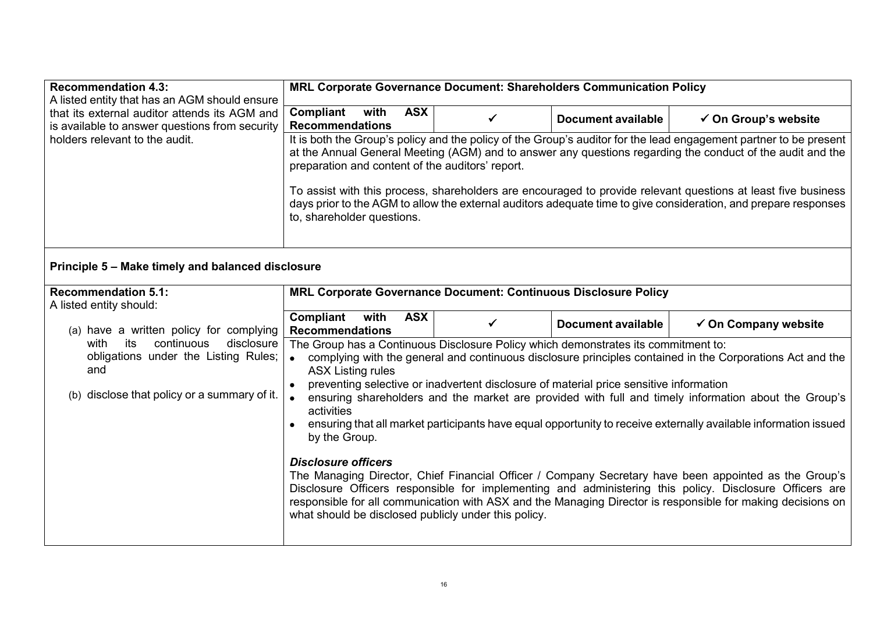| <b>Recommendation 4.3:</b><br>A listed entity that has an AGM should ensure                                                            | MRL Corporate Governance Document: Shareholders Communication Policy                                                                                                                                                                                                                                                                                                                                                                                                                                                                                                                                                                                                                                                                                                                                                                                                                                                                                                                                                               |   |                           |                                 |
|----------------------------------------------------------------------------------------------------------------------------------------|------------------------------------------------------------------------------------------------------------------------------------------------------------------------------------------------------------------------------------------------------------------------------------------------------------------------------------------------------------------------------------------------------------------------------------------------------------------------------------------------------------------------------------------------------------------------------------------------------------------------------------------------------------------------------------------------------------------------------------------------------------------------------------------------------------------------------------------------------------------------------------------------------------------------------------------------------------------------------------------------------------------------------------|---|---------------------------|---------------------------------|
| that its external auditor attends its AGM and<br>is available to answer questions from security                                        | Compliant<br><b>ASX</b><br>with<br><b>Recommendations</b>                                                                                                                                                                                                                                                                                                                                                                                                                                                                                                                                                                                                                                                                                                                                                                                                                                                                                                                                                                          | ✓ | <b>Document available</b> | $\checkmark$ On Group's website |
| holders relevant to the audit.                                                                                                         | It is both the Group's policy and the policy of the Group's auditor for the lead engagement partner to be present<br>at the Annual General Meeting (AGM) and to answer any questions regarding the conduct of the audit and the<br>preparation and content of the auditors' report.<br>To assist with this process, shareholders are encouraged to provide relevant questions at least five business<br>days prior to the AGM to allow the external auditors adequate time to give consideration, and prepare responses<br>to, shareholder questions.                                                                                                                                                                                                                                                                                                                                                                                                                                                                              |   |                           |                                 |
| Principle 5 - Make timely and balanced disclosure                                                                                      |                                                                                                                                                                                                                                                                                                                                                                                                                                                                                                                                                                                                                                                                                                                                                                                                                                                                                                                                                                                                                                    |   |                           |                                 |
| <b>Recommendation 5.1:</b><br>A listed entity should:                                                                                  | MRL Corporate Governance Document: Continuous Disclosure Policy                                                                                                                                                                                                                                                                                                                                                                                                                                                                                                                                                                                                                                                                                                                                                                                                                                                                                                                                                                    |   |                           |                                 |
| (a) have a written policy for complying                                                                                                | Compliant<br><b>ASX</b><br>with<br><b>Recommendations</b>                                                                                                                                                                                                                                                                                                                                                                                                                                                                                                                                                                                                                                                                                                                                                                                                                                                                                                                                                                          | ✓ | <b>Document available</b> | $\checkmark$ On Company website |
| continuous<br>disclosure<br>its<br>with<br>obligations under the Listing Rules;<br>and<br>(b) disclose that policy or a summary of it. | The Group has a Continuous Disclosure Policy which demonstrates its commitment to:<br>complying with the general and continuous disclosure principles contained in the Corporations Act and the<br>$\bullet$<br><b>ASX Listing rules</b><br>preventing selective or inadvertent disclosure of material price sensitive information<br>ensuring shareholders and the market are provided with full and timely information about the Group's<br>$\bullet$<br>activities<br>ensuring that all market participants have equal opportunity to receive externally available information issued<br>by the Group.<br><b>Disclosure officers</b><br>The Managing Director, Chief Financial Officer / Company Secretary have been appointed as the Group's<br>Disclosure Officers responsible for implementing and administering this policy. Disclosure Officers are<br>responsible for all communication with ASX and the Managing Director is responsible for making decisions on<br>what should be disclosed publicly under this policy. |   |                           |                                 |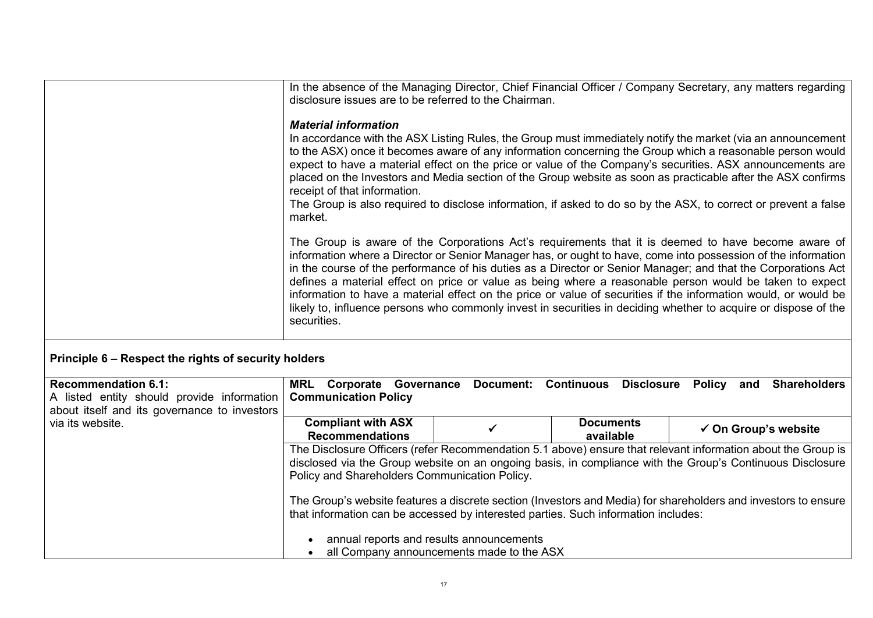|                                                                                                                          | disclosure issues are to be referred to the Chairman.                                                                                                                                                                                                                                                                                                                                                                                                                                                                                                                                                                                                                                                 |              |                               | In the absence of the Managing Director, Chief Financial Officer / Company Secretary, any matters regarding    |  |
|--------------------------------------------------------------------------------------------------------------------------|-------------------------------------------------------------------------------------------------------------------------------------------------------------------------------------------------------------------------------------------------------------------------------------------------------------------------------------------------------------------------------------------------------------------------------------------------------------------------------------------------------------------------------------------------------------------------------------------------------------------------------------------------------------------------------------------------------|--------------|-------------------------------|----------------------------------------------------------------------------------------------------------------|--|
|                                                                                                                          | <b>Material information</b><br>In accordance with the ASX Listing Rules, the Group must immediately notify the market (via an announcement<br>to the ASX) once it becomes aware of any information concerning the Group which a reasonable person would<br>expect to have a material effect on the price or value of the Company's securities. ASX announcements are<br>placed on the Investors and Media section of the Group website as soon as practicable after the ASX confirms<br>receipt of that information.<br>The Group is also required to disclose information, if asked to do so by the ASX, to correct or prevent a false<br>market.                                                    |              |                               |                                                                                                                |  |
|                                                                                                                          | The Group is aware of the Corporations Act's requirements that it is deemed to have become aware of<br>information where a Director or Senior Manager has, or ought to have, come into possession of the information<br>in the course of the performance of his duties as a Director or Senior Manager; and that the Corporations Act<br>defines a material effect on price or value as being where a reasonable person would be taken to expect<br>information to have a material effect on the price or value of securities if the information would, or would be<br>likely to, influence persons who commonly invest in securities in deciding whether to acquire or dispose of the<br>securities. |              |                               |                                                                                                                |  |
| Principle 6 – Respect the rights of security holders                                                                     |                                                                                                                                                                                                                                                                                                                                                                                                                                                                                                                                                                                                                                                                                                       |              |                               |                                                                                                                |  |
| <b>Recommendation 6.1:</b><br>A listed entity should provide information<br>about itself and its governance to investors | <b>MRL Corporate Governance</b><br><b>Communication Policy</b>                                                                                                                                                                                                                                                                                                                                                                                                                                                                                                                                                                                                                                        |              |                               | Document: Continuous Disclosure Policy and Shareholders                                                        |  |
| via its website.                                                                                                         | <b>Compliant with ASX</b><br><b>Recommendations</b>                                                                                                                                                                                                                                                                                                                                                                                                                                                                                                                                                                                                                                                   | $\checkmark$ | <b>Documents</b><br>available | $\checkmark$ On Group's website                                                                                |  |
|                                                                                                                          | The Disclosure Officers (refer Recommendation 5.1 above) ensure that relevant information about the Group is<br>disclosed via the Group website on an ongoing basis, in compliance with the Group's Continuous Disclosure<br>Policy and Shareholders Communication Policy.                                                                                                                                                                                                                                                                                                                                                                                                                            |              |                               |                                                                                                                |  |
|                                                                                                                          |                                                                                                                                                                                                                                                                                                                                                                                                                                                                                                                                                                                                                                                                                                       |              |                               | The Group's website features a discrete section (Investors and Media) for shareholders and investors to ensure |  |
|                                                                                                                          | that information can be accessed by interested parties. Such information includes:<br>annual reports and results announcements<br>all Company announcements made to the ASX                                                                                                                                                                                                                                                                                                                                                                                                                                                                                                                           |              |                               |                                                                                                                |  |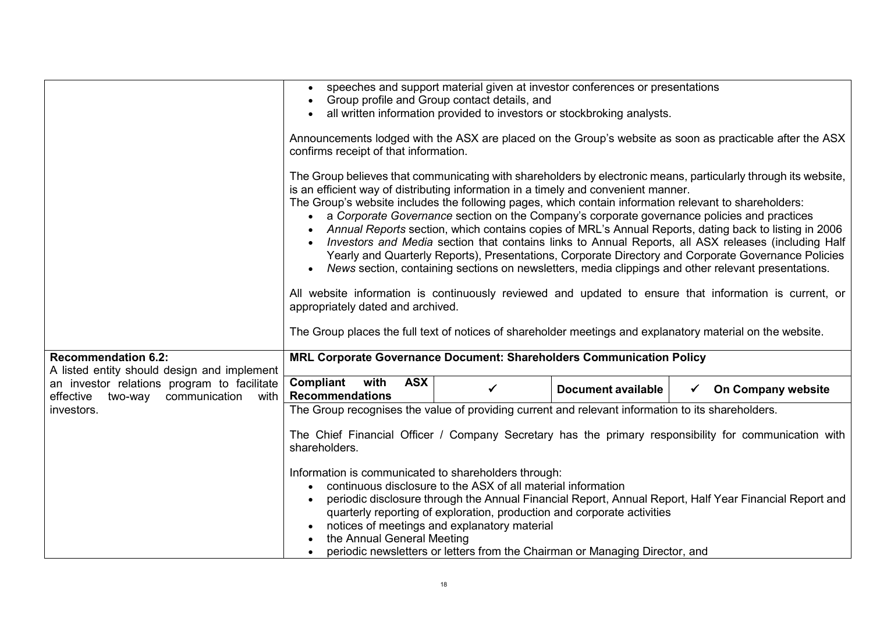|                                                                                            | speeches and support material given at investor conferences or presentations<br>$\bullet$                                                                                                                                                                                                                                                                                                                                                                                                                                                                                               |              |                                                                                                                                                                                                    |              |                                                                                                                                                                                                                                                                                                                     |
|--------------------------------------------------------------------------------------------|-----------------------------------------------------------------------------------------------------------------------------------------------------------------------------------------------------------------------------------------------------------------------------------------------------------------------------------------------------------------------------------------------------------------------------------------------------------------------------------------------------------------------------------------------------------------------------------------|--------------|----------------------------------------------------------------------------------------------------------------------------------------------------------------------------------------------------|--------------|---------------------------------------------------------------------------------------------------------------------------------------------------------------------------------------------------------------------------------------------------------------------------------------------------------------------|
|                                                                                            | Group profile and Group contact details, and<br>all written information provided to investors or stockbroking analysts.                                                                                                                                                                                                                                                                                                                                                                                                                                                                 |              |                                                                                                                                                                                                    |              |                                                                                                                                                                                                                                                                                                                     |
|                                                                                            |                                                                                                                                                                                                                                                                                                                                                                                                                                                                                                                                                                                         |              |                                                                                                                                                                                                    |              |                                                                                                                                                                                                                                                                                                                     |
|                                                                                            | Announcements lodged with the ASX are placed on the Group's website as soon as practicable after the ASX<br>confirms receipt of that information.                                                                                                                                                                                                                                                                                                                                                                                                                                       |              |                                                                                                                                                                                                    |              |                                                                                                                                                                                                                                                                                                                     |
|                                                                                            | The Group believes that communicating with shareholders by electronic means, particularly through its website,<br>is an efficient way of distributing information in a timely and convenient manner.<br>The Group's website includes the following pages, which contain information relevant to shareholders:<br>$\bullet$<br>All website information is continuously reviewed and updated to ensure that information is current, or<br>appropriately dated and archived.<br>The Group places the full text of notices of shareholder meetings and explanatory material on the website. |              | a Corporate Governance section on the Company's corporate governance policies and practices<br>News section, containing sections on newsletters, media clippings and other relevant presentations. |              | Annual Reports section, which contains copies of MRL's Annual Reports, dating back to listing in 2006<br>Investors and Media section that contains links to Annual Reports, all ASX releases (including Half<br>Yearly and Quarterly Reports), Presentations, Corporate Directory and Corporate Governance Policies |
| <b>Recommendation 6.2:</b>                                                                 | MRL Corporate Governance Document: Shareholders Communication Policy                                                                                                                                                                                                                                                                                                                                                                                                                                                                                                                    |              |                                                                                                                                                                                                    |              |                                                                                                                                                                                                                                                                                                                     |
| A listed entity should design and implement<br>an investor relations program to facilitate | Compliant<br><b>ASX</b><br>with                                                                                                                                                                                                                                                                                                                                                                                                                                                                                                                                                         |              |                                                                                                                                                                                                    |              |                                                                                                                                                                                                                                                                                                                     |
| two-way communication with<br>effective                                                    | <b>Recommendations</b>                                                                                                                                                                                                                                                                                                                                                                                                                                                                                                                                                                  | $\checkmark$ | <b>Document available</b>                                                                                                                                                                          | $\checkmark$ | On Company website                                                                                                                                                                                                                                                                                                  |
| investors.                                                                                 | The Group recognises the value of providing current and relevant information to its shareholders.                                                                                                                                                                                                                                                                                                                                                                                                                                                                                       |              |                                                                                                                                                                                                    |              |                                                                                                                                                                                                                                                                                                                     |
|                                                                                            | The Chief Financial Officer / Company Secretary has the primary responsibility for communication with<br>shareholders.<br>Information is communicated to shareholders through:<br>continuous disclosure to the ASX of all material information<br>periodic disclosure through the Annual Financial Report, Annual Report, Half Year Financial Report and<br>quarterly reporting of exploration, production and corporate activities<br>notices of meetings and explanatory material<br>the Annual General Meeting                                                                       |              |                                                                                                                                                                                                    |              |                                                                                                                                                                                                                                                                                                                     |
|                                                                                            | periodic newsletters or letters from the Chairman or Managing Director, and                                                                                                                                                                                                                                                                                                                                                                                                                                                                                                             |              |                                                                                                                                                                                                    |              |                                                                                                                                                                                                                                                                                                                     |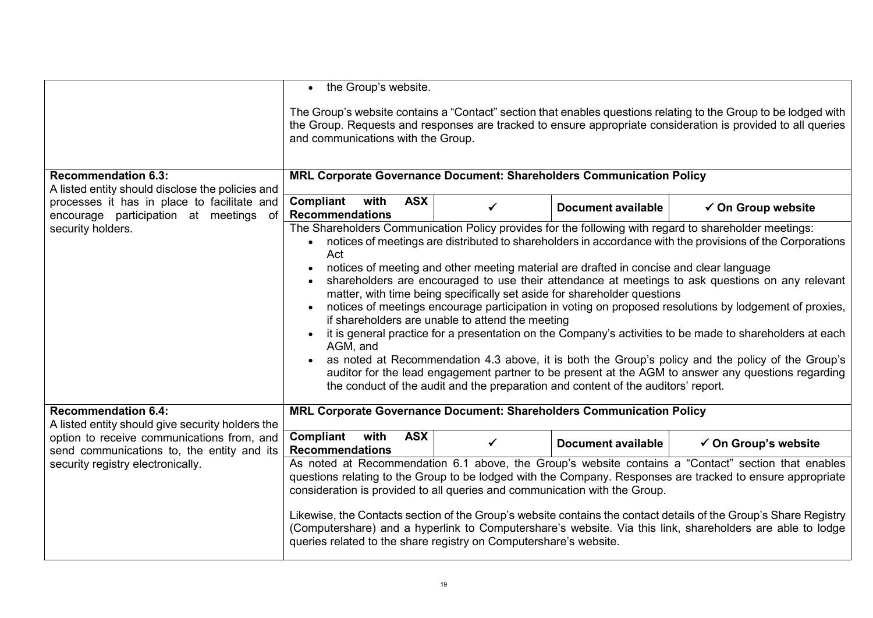|                                                                                          | • the Group's website.                                                                                                                                                                                                                                                                                                                                                                                                                                                                                                                                                                                                                                                                                                                                                                                                                                                                                                                                                                                                                                                                       |              |                           |                                 |
|------------------------------------------------------------------------------------------|----------------------------------------------------------------------------------------------------------------------------------------------------------------------------------------------------------------------------------------------------------------------------------------------------------------------------------------------------------------------------------------------------------------------------------------------------------------------------------------------------------------------------------------------------------------------------------------------------------------------------------------------------------------------------------------------------------------------------------------------------------------------------------------------------------------------------------------------------------------------------------------------------------------------------------------------------------------------------------------------------------------------------------------------------------------------------------------------|--------------|---------------------------|---------------------------------|
|                                                                                          | The Group's website contains a "Contact" section that enables questions relating to the Group to be lodged with<br>the Group. Requests and responses are tracked to ensure appropriate consideration is provided to all queries<br>and communications with the Group.                                                                                                                                                                                                                                                                                                                                                                                                                                                                                                                                                                                                                                                                                                                                                                                                                        |              |                           |                                 |
| <b>Recommendation 6.3:</b><br>A listed entity should disclose the policies and           | MRL Corporate Governance Document: Shareholders Communication Policy                                                                                                                                                                                                                                                                                                                                                                                                                                                                                                                                                                                                                                                                                                                                                                                                                                                                                                                                                                                                                         |              |                           |                                 |
| processes it has in place to facilitate and<br>encourage participation at meetings of    | Compliant<br>with<br><b>ASX</b><br><b>Recommendations</b>                                                                                                                                                                                                                                                                                                                                                                                                                                                                                                                                                                                                                                                                                                                                                                                                                                                                                                                                                                                                                                    | ✓            | Document available        | $\checkmark$ On Group website   |
| security holders.                                                                        | The Shareholders Communication Policy provides for the following with regard to shareholder meetings:<br>• notices of meetings are distributed to shareholders in accordance with the provisions of the Corporations<br>Act<br>notices of meeting and other meeting material are drafted in concise and clear language<br>shareholders are encouraged to use their attendance at meetings to ask questions on any relevant<br>matter, with time being specifically set aside for shareholder questions<br>notices of meetings encourage participation in voting on proposed resolutions by lodgement of proxies,<br>if shareholders are unable to attend the meeting<br>it is general practice for a presentation on the Company's activities to be made to shareholders at each<br>AGM, and<br>as noted at Recommendation 4.3 above, it is both the Group's policy and the policy of the Group's<br>auditor for the lead engagement partner to be present at the AGM to answer any questions regarding<br>the conduct of the audit and the preparation and content of the auditors' report. |              |                           |                                 |
| <b>Recommendation 6.4:</b><br>A listed entity should give security holders the           | MRL Corporate Governance Document: Shareholders Communication Policy                                                                                                                                                                                                                                                                                                                                                                                                                                                                                                                                                                                                                                                                                                                                                                                                                                                                                                                                                                                                                         |              |                           |                                 |
| option to receive communications from, and<br>send communications to, the entity and its | Compliant<br>with<br><b>ASX</b><br><b>Recommendations</b>                                                                                                                                                                                                                                                                                                                                                                                                                                                                                                                                                                                                                                                                                                                                                                                                                                                                                                                                                                                                                                    | $\checkmark$ | <b>Document available</b> | $\checkmark$ On Group's website |
| security registry electronically.                                                        | As noted at Recommendation 6.1 above, the Group's website contains a "Contact" section that enables<br>questions relating to the Group to be lodged with the Company. Responses are tracked to ensure appropriate<br>consideration is provided to all queries and communication with the Group.                                                                                                                                                                                                                                                                                                                                                                                                                                                                                                                                                                                                                                                                                                                                                                                              |              |                           |                                 |
|                                                                                          | Likewise, the Contacts section of the Group's website contains the contact details of the Group's Share Registry<br>(Computershare) and a hyperlink to Computershare's website. Via this link, shareholders are able to lodge<br>queries related to the share registry on Computershare's website.                                                                                                                                                                                                                                                                                                                                                                                                                                                                                                                                                                                                                                                                                                                                                                                           |              |                           |                                 |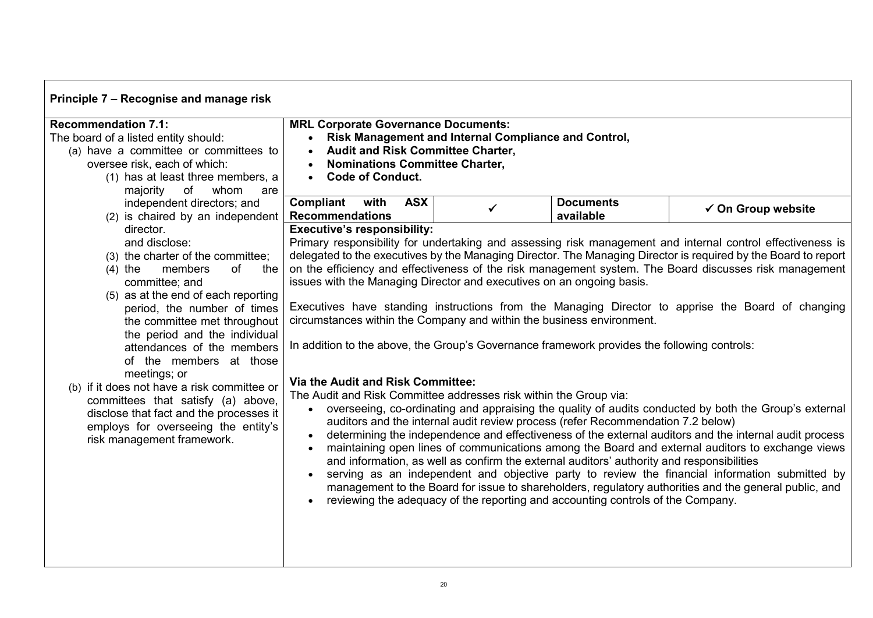| Principle 7 - Recognise and manage risk                                                                                                                                                                                                                                                                                |                                                                                                                                                                                                                                                                                     |                                                      |                                                                                                                                                                                                                                                                 |                                                                                                                                                                                                                                                                                                                                                                                                                                                                                                                                |
|------------------------------------------------------------------------------------------------------------------------------------------------------------------------------------------------------------------------------------------------------------------------------------------------------------------------|-------------------------------------------------------------------------------------------------------------------------------------------------------------------------------------------------------------------------------------------------------------------------------------|------------------------------------------------------|-----------------------------------------------------------------------------------------------------------------------------------------------------------------------------------------------------------------------------------------------------------------|--------------------------------------------------------------------------------------------------------------------------------------------------------------------------------------------------------------------------------------------------------------------------------------------------------------------------------------------------------------------------------------------------------------------------------------------------------------------------------------------------------------------------------|
| <b>Recommendation 7.1:</b><br>The board of a listed entity should:<br>(a) have a committee or committees to<br>oversee risk, each of which:<br>(1) has at least three members, a<br>of<br>majority<br>whom<br>are                                                                                                      | <b>MRL Corporate Governance Documents:</b><br><b>Audit and Risk Committee Charter,</b><br><b>Nominations Committee Charter,</b><br><b>Code of Conduct.</b>                                                                                                                          | Risk Management and Internal Compliance and Control, |                                                                                                                                                                                                                                                                 |                                                                                                                                                                                                                                                                                                                                                                                                                                                                                                                                |
| independent directors; and<br>(2) is chaired by an independent                                                                                                                                                                                                                                                         | Compliant<br>with<br><b>ASX</b><br><b>Recommendations</b>                                                                                                                                                                                                                           | $\checkmark$                                         | <b>Documents</b><br>available                                                                                                                                                                                                                                   | $\checkmark$ On Group website                                                                                                                                                                                                                                                                                                                                                                                                                                                                                                  |
| director.<br>and disclose:<br>(3) the charter of the committee;<br>$(4)$ the<br>members<br>of<br>the<br>committee; and<br>(5) as at the end of each reporting<br>period, the number of times<br>the committee met throughout<br>the period and the individual<br>attendances of the members<br>of the members at those | <b>Executive's responsibility:</b><br>issues with the Managing Director and executives on an ongoing basis.<br>circumstances within the Company and within the business environment.<br>In addition to the above, the Group's Governance framework provides the following controls: |                                                      |                                                                                                                                                                                                                                                                 | Primary responsibility for undertaking and assessing risk management and internal control effectiveness is<br>delegated to the executives by the Managing Director. The Managing Director is required by the Board to report<br>on the efficiency and effectiveness of the risk management system. The Board discusses risk management<br>Executives have standing instructions from the Managing Director to apprise the Board of changing                                                                                    |
| meetings; or<br>(b) if it does not have a risk committee or<br>committees that satisfy (a) above,<br>disclose that fact and the processes it<br>employs for overseeing the entity's<br>risk management framework.                                                                                                      | <b>Via the Audit and Risk Committee:</b><br>The Audit and Risk Committee addresses risk within the Group via:<br>$\bullet$<br>$\bullet$<br>$\bullet$                                                                                                                                |                                                      | auditors and the internal audit review process (refer Recommendation 7.2 below)<br>and information, as well as confirm the external auditors' authority and responsibilities<br>reviewing the adequacy of the reporting and accounting controls of the Company. | overseeing, co-ordinating and appraising the quality of audits conducted by both the Group's external<br>determining the independence and effectiveness of the external auditors and the internal audit process<br>maintaining open lines of communications among the Board and external auditors to exchange views<br>serving as an independent and objective party to review the financial information submitted by<br>management to the Board for issue to shareholders, regulatory authorities and the general public, and |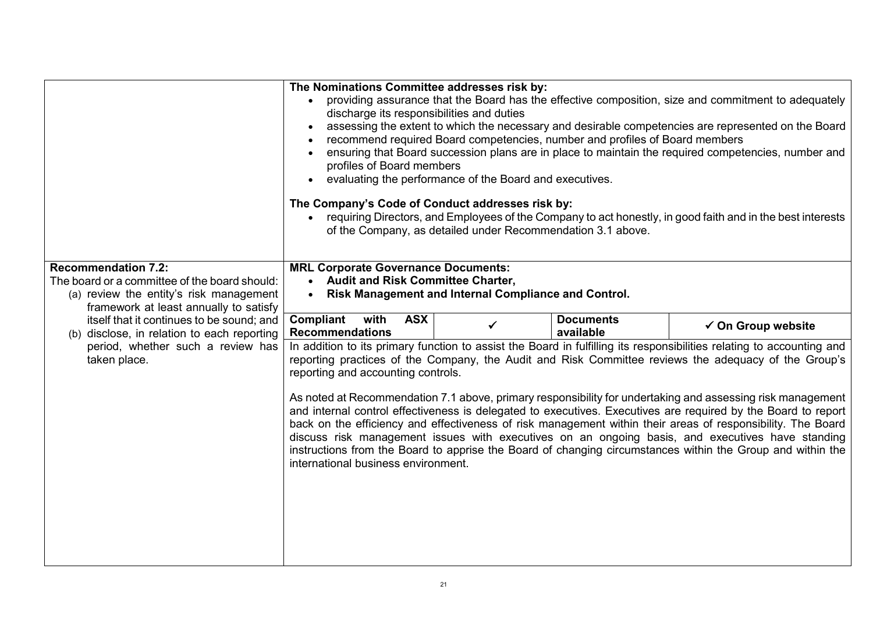|                                                                                                                                                                                                                                                                                                                   | The Nominations Committee addresses risk by:<br>$\bullet$<br>discharge its responsibilities and duties<br>$\bullet$<br>profiles of Board members<br>The Company's Code of Conduct addresses risk by:                                          | evaluating the performance of the Board and executives.<br>of the Company, as detailed under Recommendation 3.1 above. | recommend required Board competencies, number and profiles of Board members | providing assurance that the Board has the effective composition, size and commitment to adequately<br>assessing the extent to which the necessary and desirable competencies are represented on the Board<br>ensuring that Board succession plans are in place to maintain the required competencies, number and<br>requiring Directors, and Employees of the Company to act honestly, in good faith and in the best interests                                                                                                                                                                                                                                                                                                                                                                                                |
|-------------------------------------------------------------------------------------------------------------------------------------------------------------------------------------------------------------------------------------------------------------------------------------------------------------------|-----------------------------------------------------------------------------------------------------------------------------------------------------------------------------------------------------------------------------------------------|------------------------------------------------------------------------------------------------------------------------|-----------------------------------------------------------------------------|--------------------------------------------------------------------------------------------------------------------------------------------------------------------------------------------------------------------------------------------------------------------------------------------------------------------------------------------------------------------------------------------------------------------------------------------------------------------------------------------------------------------------------------------------------------------------------------------------------------------------------------------------------------------------------------------------------------------------------------------------------------------------------------------------------------------------------|
| <b>Recommendation 7.2:</b><br>The board or a committee of the board should:<br>(a) review the entity's risk management<br>framework at least annually to satisfy<br>itself that it continues to be sound; and<br>(b) disclose, in relation to each reporting<br>period, whether such a review has<br>taken place. | <b>MRL Corporate Governance Documents:</b><br><b>Audit and Risk Committee Charter,</b><br>$\bullet$<br>Compliant<br>with<br><b>ASX</b><br><b>Recommendations</b><br>reporting and accounting controls.<br>international business environment. | Risk Management and Internal Compliance and Control.                                                                   | <b>Documents</b><br>available                                               | $\checkmark$ On Group website<br>In addition to its primary function to assist the Board in fulfilling its responsibilities relating to accounting and<br>reporting practices of the Company, the Audit and Risk Committee reviews the adequacy of the Group's<br>As noted at Recommendation 7.1 above, primary responsibility for undertaking and assessing risk management<br>and internal control effectiveness is delegated to executives. Executives are required by the Board to report<br>back on the efficiency and effectiveness of risk management within their areas of responsibility. The Board<br>discuss risk management issues with executives on an ongoing basis, and executives have standing<br>instructions from the Board to apprise the Board of changing circumstances within the Group and within the |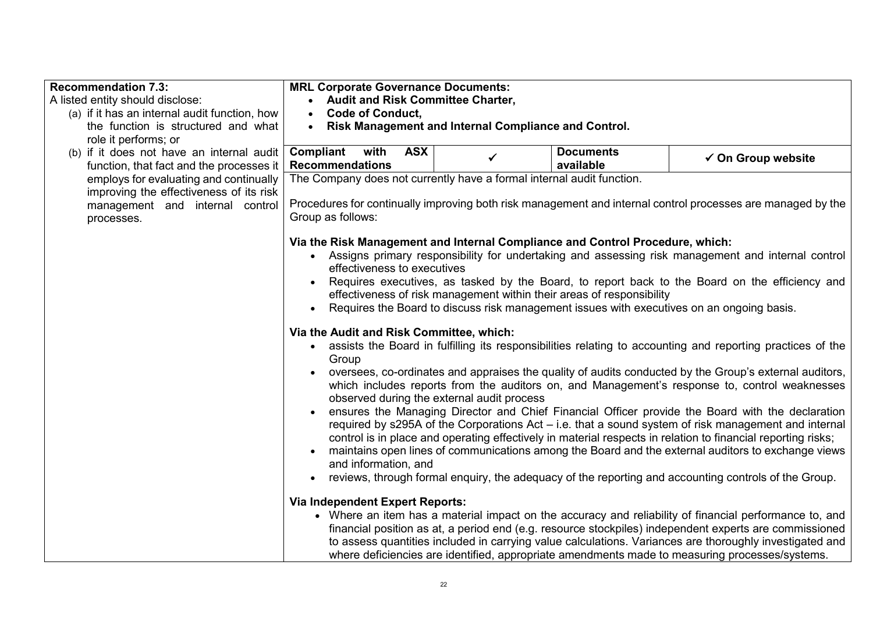| <b>Recommendation 7.3:</b>                                                 | <b>MRL Corporate Governance Documents:</b>                                                                  |                                                                               |                  |                                                                                                                                                                                                                  |  |  |
|----------------------------------------------------------------------------|-------------------------------------------------------------------------------------------------------------|-------------------------------------------------------------------------------|------------------|------------------------------------------------------------------------------------------------------------------------------------------------------------------------------------------------------------------|--|--|
| A listed entity should disclose:                                           | <b>Audit and Risk Committee Charter,</b>                                                                    |                                                                               |                  |                                                                                                                                                                                                                  |  |  |
| (a) if it has an internal audit function, how                              | <b>Code of Conduct,</b><br>$\bullet$                                                                        |                                                                               |                  |                                                                                                                                                                                                                  |  |  |
| the function is structured and what                                        | $\bullet$                                                                                                   | Risk Management and Internal Compliance and Control.                          |                  |                                                                                                                                                                                                                  |  |  |
| role it performs; or                                                       |                                                                                                             | <b>ASX</b>                                                                    |                  |                                                                                                                                                                                                                  |  |  |
| (b) if it does not have an internal audit                                  | Compliant<br>with                                                                                           |                                                                               | <b>Documents</b> | $\checkmark$ On Group website                                                                                                                                                                                    |  |  |
| function, that fact and the processes it                                   | <b>Recommendations</b>                                                                                      |                                                                               | available        |                                                                                                                                                                                                                  |  |  |
| employs for evaluating and continually                                     | The Company does not currently have a formal internal audit function.                                       |                                                                               |                  |                                                                                                                                                                                                                  |  |  |
| improving the effectiveness of its risk<br>management and internal control | Procedures for continually improving both risk management and internal control processes are managed by the |                                                                               |                  |                                                                                                                                                                                                                  |  |  |
| processes.                                                                 | Group as follows:                                                                                           |                                                                               |                  |                                                                                                                                                                                                                  |  |  |
|                                                                            |                                                                                                             |                                                                               |                  |                                                                                                                                                                                                                  |  |  |
|                                                                            |                                                                                                             | Via the Risk Management and Internal Compliance and Control Procedure, which: |                  |                                                                                                                                                                                                                  |  |  |
|                                                                            |                                                                                                             |                                                                               |                  | • Assigns primary responsibility for undertaking and assessing risk management and internal control                                                                                                              |  |  |
|                                                                            | effectiveness to executives                                                                                 |                                                                               |                  |                                                                                                                                                                                                                  |  |  |
|                                                                            |                                                                                                             |                                                                               |                  | Requires executives, as tasked by the Board, to report back to the Board on the efficiency and                                                                                                                   |  |  |
|                                                                            |                                                                                                             | effectiveness of risk management within their areas of responsibility         |                  |                                                                                                                                                                                                                  |  |  |
|                                                                            |                                                                                                             |                                                                               |                  | Requires the Board to discuss risk management issues with executives on an ongoing basis.                                                                                                                        |  |  |
|                                                                            |                                                                                                             |                                                                               |                  |                                                                                                                                                                                                                  |  |  |
|                                                                            | Via the Audit and Risk Committee, which:                                                                    |                                                                               |                  | • assists the Board in fulfilling its responsibilities relating to accounting and reporting practices of the                                                                                                     |  |  |
|                                                                            | Group                                                                                                       |                                                                               |                  |                                                                                                                                                                                                                  |  |  |
|                                                                            |                                                                                                             |                                                                               |                  | oversees, co-ordinates and appraises the quality of audits conducted by the Group's external auditors,                                                                                                           |  |  |
|                                                                            |                                                                                                             |                                                                               |                  | which includes reports from the auditors on, and Management's response to, control weaknesses                                                                                                                    |  |  |
|                                                                            |                                                                                                             | observed during the external audit process                                    |                  |                                                                                                                                                                                                                  |  |  |
|                                                                            |                                                                                                             |                                                                               |                  | ensures the Managing Director and Chief Financial Officer provide the Board with the declaration                                                                                                                 |  |  |
|                                                                            |                                                                                                             |                                                                               |                  | required by s295A of the Corporations Act – i.e. that a sound system of risk management and internal                                                                                                             |  |  |
|                                                                            |                                                                                                             |                                                                               |                  | control is in place and operating effectively in material respects in relation to financial reporting risks;                                                                                                     |  |  |
|                                                                            |                                                                                                             |                                                                               |                  | maintains open lines of communications among the Board and the external auditors to exchange views                                                                                                               |  |  |
|                                                                            | and information, and                                                                                        |                                                                               |                  |                                                                                                                                                                                                                  |  |  |
|                                                                            |                                                                                                             |                                                                               |                  | reviews, through formal enguiry, the adequacy of the reporting and accounting controls of the Group.                                                                                                             |  |  |
|                                                                            |                                                                                                             |                                                                               |                  |                                                                                                                                                                                                                  |  |  |
|                                                                            | <b>Via Independent Expert Reports:</b>                                                                      |                                                                               |                  |                                                                                                                                                                                                                  |  |  |
|                                                                            |                                                                                                             |                                                                               |                  | • Where an item has a material impact on the accuracy and reliability of financial performance to, and<br>financial position as at, a period end (e.g. resource stockpiles) independent experts are commissioned |  |  |
|                                                                            |                                                                                                             |                                                                               |                  | to assess quantities included in carrying value calculations. Variances are thoroughly investigated and                                                                                                          |  |  |
|                                                                            |                                                                                                             |                                                                               |                  | where deficiencies are identified, appropriate amendments made to measuring processes/systems.                                                                                                                   |  |  |
|                                                                            |                                                                                                             |                                                                               |                  |                                                                                                                                                                                                                  |  |  |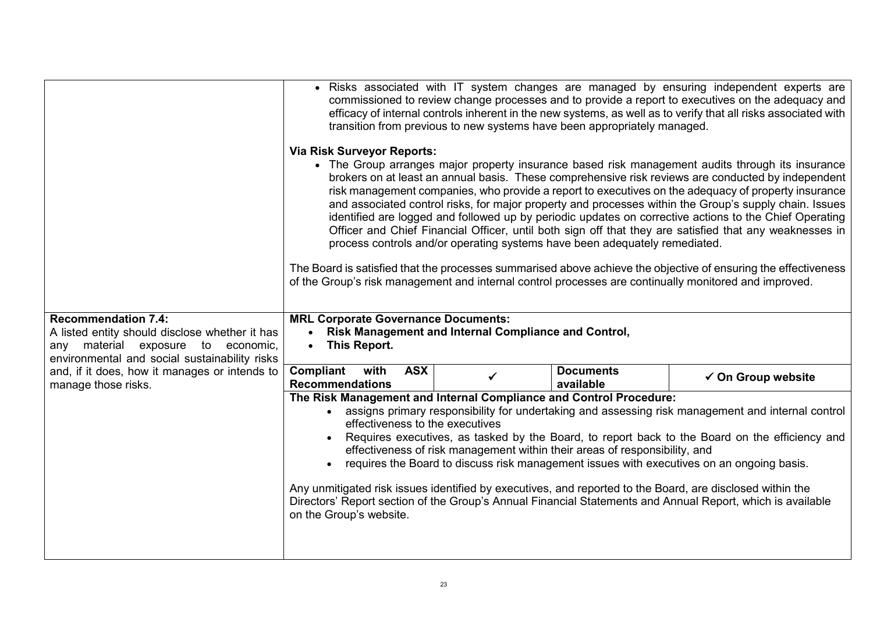|                                                                                     |                                                                    |            | transition from previous to new systems have been appropriately managed.   |                               | • Risks associated with IT system changes are managed by ensuring independent experts are<br>commissioned to review change processes and to provide a report to executives on the adequacy and<br>efficacy of internal controls inherent in the new systems, as well as to verify that all risks associated with                                                                                                                                                                                                                                                                                                                                                                                                                                                                                                                                                        |
|-------------------------------------------------------------------------------------|--------------------------------------------------------------------|------------|----------------------------------------------------------------------------|-------------------------------|-------------------------------------------------------------------------------------------------------------------------------------------------------------------------------------------------------------------------------------------------------------------------------------------------------------------------------------------------------------------------------------------------------------------------------------------------------------------------------------------------------------------------------------------------------------------------------------------------------------------------------------------------------------------------------------------------------------------------------------------------------------------------------------------------------------------------------------------------------------------------|
|                                                                                     | <b>Via Risk Surveyor Reports:</b>                                  |            | process controls and/or operating systems have been adequately remediated. |                               | • The Group arranges major property insurance based risk management audits through its insurance<br>brokers on at least an annual basis. These comprehensive risk reviews are conducted by independent<br>risk management companies, who provide a report to executives on the adequacy of property insurance<br>and associated control risks, for major property and processes within the Group's supply chain. Issues<br>identified are logged and followed up by periodic updates on corrective actions to the Chief Operating<br>Officer and Chief Financial Officer, until both sign off that they are satisfied that any weaknesses in<br>The Board is satisfied that the processes summarised above achieve the objective of ensuring the effectiveness<br>of the Group's risk management and internal control processes are continually monitored and improved. |
| <b>Recommendation 7.4:</b><br>A listed entity should disclose whether it has        | <b>MRL Corporate Governance Documents:</b><br>$\bullet$            |            | Risk Management and Internal Compliance and Control,                       |                               |                                                                                                                                                                                                                                                                                                                                                                                                                                                                                                                                                                                                                                                                                                                                                                                                                                                                         |
| any material exposure to economic,<br>environmental and social sustainability risks | This Report.<br>$\bullet$                                          |            |                                                                            |                               |                                                                                                                                                                                                                                                                                                                                                                                                                                                                                                                                                                                                                                                                                                                                                                                                                                                                         |
| and, if it does, how it manages or intends to<br>manage those risks.                | Compliant<br>with<br><b>Recommendations</b>                        | <b>ASX</b> | ✔                                                                          | <b>Documents</b><br>available | $\checkmark$ On Group website                                                                                                                                                                                                                                                                                                                                                                                                                                                                                                                                                                                                                                                                                                                                                                                                                                           |
|                                                                                     | The Risk Management and Internal Compliance and Control Procedure: |            |                                                                            |                               |                                                                                                                                                                                                                                                                                                                                                                                                                                                                                                                                                                                                                                                                                                                                                                                                                                                                         |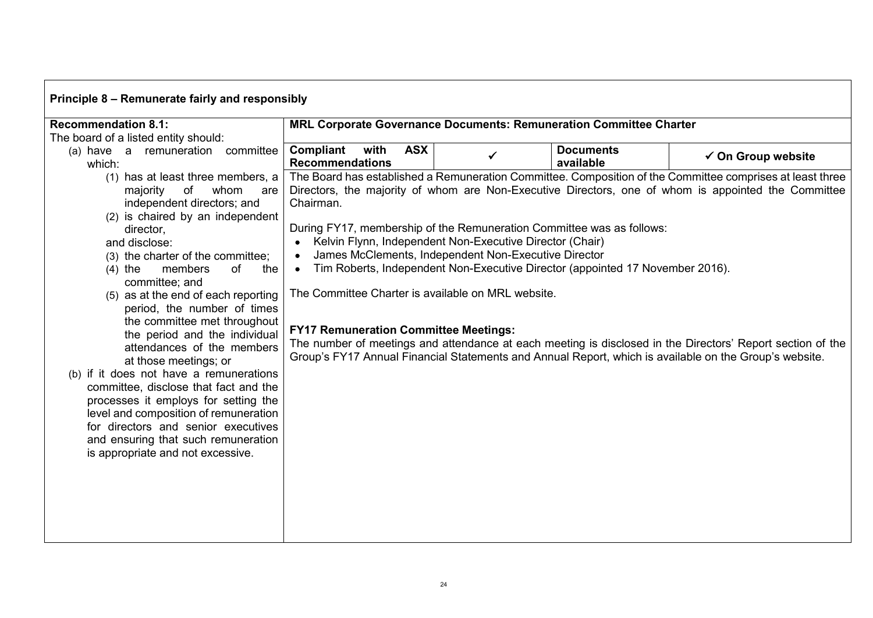| Principle 8 – Remunerate fairly and responsibly                                                                                                                                                                                                                                                                                                                                                                                                                                                                                                                                                                                                                                                                                                      |                                                                                                                                                                                                                                                                                                                                        |                                                                    |                                                                               |                                                                                                                                                                                                                                                                                                                                                                                                                                          |  |  |
|------------------------------------------------------------------------------------------------------------------------------------------------------------------------------------------------------------------------------------------------------------------------------------------------------------------------------------------------------------------------------------------------------------------------------------------------------------------------------------------------------------------------------------------------------------------------------------------------------------------------------------------------------------------------------------------------------------------------------------------------------|----------------------------------------------------------------------------------------------------------------------------------------------------------------------------------------------------------------------------------------------------------------------------------------------------------------------------------------|--------------------------------------------------------------------|-------------------------------------------------------------------------------|------------------------------------------------------------------------------------------------------------------------------------------------------------------------------------------------------------------------------------------------------------------------------------------------------------------------------------------------------------------------------------------------------------------------------------------|--|--|
| <b>Recommendation 8.1:</b>                                                                                                                                                                                                                                                                                                                                                                                                                                                                                                                                                                                                                                                                                                                           |                                                                                                                                                                                                                                                                                                                                        | MRL Corporate Governance Documents: Remuneration Committee Charter |                                                                               |                                                                                                                                                                                                                                                                                                                                                                                                                                          |  |  |
| The board of a listed entity should:<br>(a) have a remuneration committee<br>which:                                                                                                                                                                                                                                                                                                                                                                                                                                                                                                                                                                                                                                                                  | Compliant<br><b>ASX</b><br>with<br><b>Recommendations</b>                                                                                                                                                                                                                                                                              |                                                                    | <b>Documents</b><br>available                                                 | $\checkmark$ On Group website                                                                                                                                                                                                                                                                                                                                                                                                            |  |  |
| (1) has at least three members, a<br>of<br>whom<br>majority<br>are<br>independent directors; and<br>(2) is chaired by an independent<br>director,<br>and disclose:<br>(3) the charter of the committee;<br>members<br>of<br>the<br>$(4)$ the<br>committee; and<br>(5) as at the end of each reporting<br>period, the number of times<br>the committee met throughout<br>the period and the individual<br>attendances of the members<br>at those meetings; or<br>(b) if it does not have a remunerations<br>committee, disclose that fact and the<br>processes it employs for setting the<br>level and composition of remuneration<br>for directors and senior executives<br>and ensuring that such remuneration<br>is appropriate and not excessive. | Chairman.<br>During FY17, membership of the Remuneration Committee was as follows:<br>Kelvin Flynn, Independent Non-Executive Director (Chair)<br>James McClements, Independent Non-Executive Director<br>$\bullet$<br>$\bullet$<br>The Committee Charter is available on MRL website.<br><b>FY17 Remuneration Committee Meetings:</b> |                                                                    | Tim Roberts, Independent Non-Executive Director (appointed 17 November 2016). | The Board has established a Remuneration Committee. Composition of the Committee comprises at least three<br>Directors, the majority of whom are Non-Executive Directors, one of whom is appointed the Committee<br>The number of meetings and attendance at each meeting is disclosed in the Directors' Report section of the<br>Group's FY17 Annual Financial Statements and Annual Report, which is available on the Group's website. |  |  |